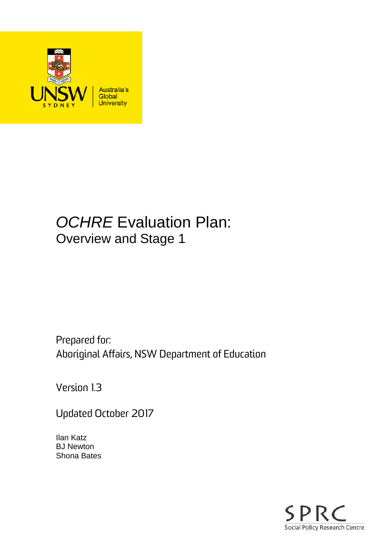

# *OCHRE* Evaluation Plan: Overview and Stage 1

Prepared for: Aboriginal Affairs, NSW Department of Education

Version 1.3

Updated October 2017

Ilan Katz BJ Newton Shona Bates

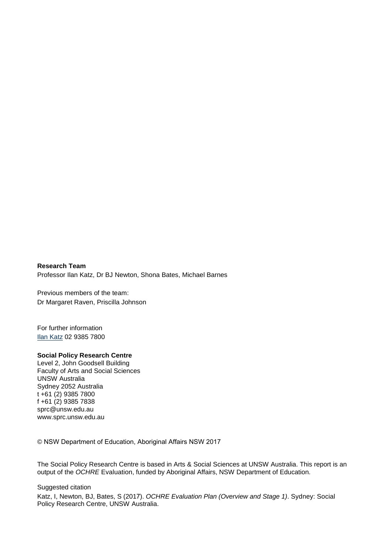#### **Research Team**

Professor Ilan Katz, Dr BJ Newton, Shona Bates, Michael Barnes

Previous members of the team: Dr Margaret Raven, Priscilla Johnson

For further information [Ilan Katz](mailto:ilan.katz@unsw.edu.au) 02 9385 7800

#### **Social Policy Research Centre**

Level 2, John Goodsell Building Faculty of Arts and Social Sciences UNSW Australia Sydney 2052 Australia t +61 (2) 9385 7800 f +61 (2) 9385 7838 sprc@unsw.edu.au www.sprc.unsw.edu.au

© NSW Department of Education, Aboriginal Affairs NSW 2017

The Social Policy Research Centre is based in Arts & Social Sciences at UNSW Australia. This report is an output of the *OCHRE* Evaluation, funded by Aboriginal Affairs, NSW Department of Education.

Suggested citation

Katz, I, Newton, BJ, Bates, S (2017). *OCHRE Evaluation Plan (Overview and Stage 1)*. Sydney: Social Policy Research Centre, UNSW Australia.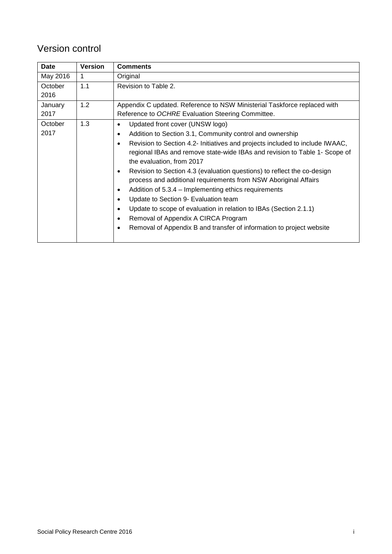### Version control

| Date            | <b>Version</b> | <b>Comments</b>                                                                                                                                                                                                                                                                                                                                                                                                                                                                                                                                                                                                                                                                                                                                                             |  |  |
|-----------------|----------------|-----------------------------------------------------------------------------------------------------------------------------------------------------------------------------------------------------------------------------------------------------------------------------------------------------------------------------------------------------------------------------------------------------------------------------------------------------------------------------------------------------------------------------------------------------------------------------------------------------------------------------------------------------------------------------------------------------------------------------------------------------------------------------|--|--|
| May 2016        | $\mathbf{1}$   | Original                                                                                                                                                                                                                                                                                                                                                                                                                                                                                                                                                                                                                                                                                                                                                                    |  |  |
| October<br>2016 | 1.1            | Revision to Table 2.                                                                                                                                                                                                                                                                                                                                                                                                                                                                                                                                                                                                                                                                                                                                                        |  |  |
| January<br>2017 | 1.2            | Appendix C updated. Reference to NSW Ministerial Taskforce replaced with<br>Reference to OCHRE Evaluation Steering Committee.                                                                                                                                                                                                                                                                                                                                                                                                                                                                                                                                                                                                                                               |  |  |
| October<br>2017 | 1.3            | Updated front cover (UNSW logo)<br>Addition to Section 3.1, Community control and ownership<br>٠<br>Revision to Section 4.2- Initiatives and projects included to include IWAAC,<br>$\bullet$<br>regional IBAs and remove state-wide IBAs and revision to Table 1- Scope of<br>the evaluation, from 2017<br>Revision to Section 4.3 (evaluation questions) to reflect the co-design<br>process and additional requirements from NSW Aboriginal Affairs<br>Addition of 5.3.4 - Implementing ethics requirements<br>٠<br>Update to Section 9- Evaluation team<br>٠<br>Update to scope of evaluation in relation to IBAs (Section 2.1.1)<br>$\bullet$<br>Removal of Appendix A CIRCA Program<br>٠<br>Removal of Appendix B and transfer of information to project website<br>٠ |  |  |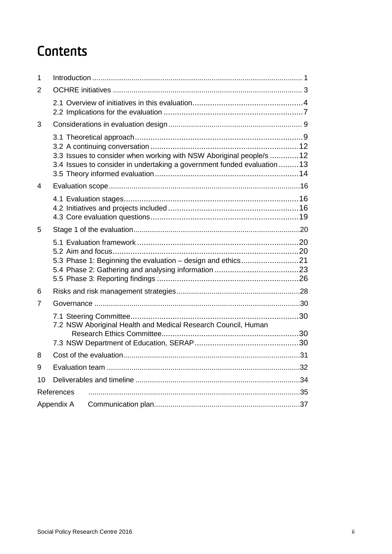# **Contents**

| 1  |            |                                                                                                                                                |  |  |
|----|------------|------------------------------------------------------------------------------------------------------------------------------------------------|--|--|
| 2  |            |                                                                                                                                                |  |  |
|    |            |                                                                                                                                                |  |  |
| 3  |            |                                                                                                                                                |  |  |
|    |            | 3.3 Issues to consider when working with NSW Aboriginal people/s 12<br>3.4 Issues to consider in undertaking a government funded evaluation 13 |  |  |
| 4  |            |                                                                                                                                                |  |  |
|    |            |                                                                                                                                                |  |  |
| 5  |            |                                                                                                                                                |  |  |
|    |            |                                                                                                                                                |  |  |
| 6  |            |                                                                                                                                                |  |  |
| 7  |            |                                                                                                                                                |  |  |
|    |            | 7.2 NSW Aboriginal Health and Medical Research Council, Human                                                                                  |  |  |
|    |            |                                                                                                                                                |  |  |
| 8  |            |                                                                                                                                                |  |  |
| 9  |            |                                                                                                                                                |  |  |
| 10 |            |                                                                                                                                                |  |  |
|    | References |                                                                                                                                                |  |  |
|    | Appendix A |                                                                                                                                                |  |  |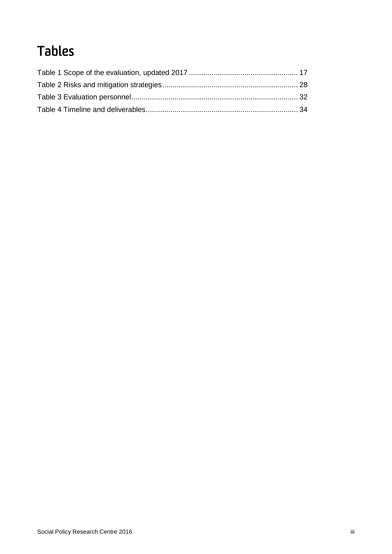# Tables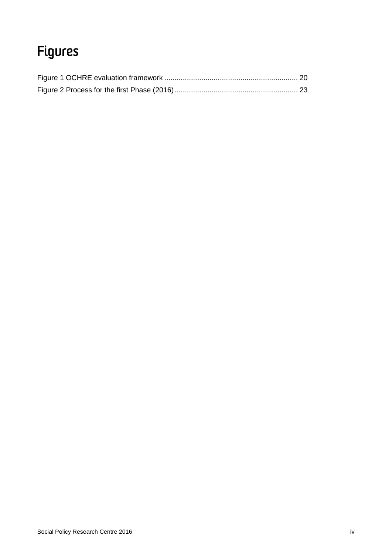# Figures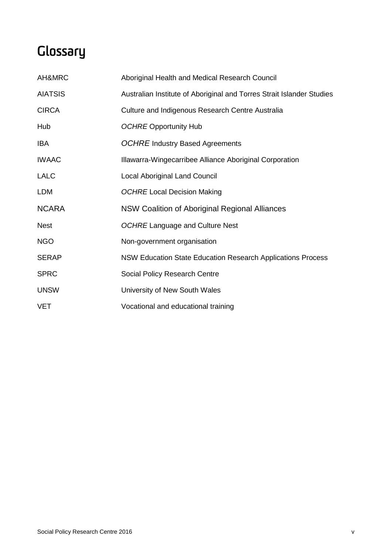# **Glossary**

| AH&MRC         | Aboriginal Health and Medical Research Council                        |
|----------------|-----------------------------------------------------------------------|
| <b>AIATSIS</b> | Australian Institute of Aboriginal and Torres Strait Islander Studies |
| <b>CIRCA</b>   | Culture and Indigenous Research Centre Australia                      |
| Hub            | <b>OCHRE Opportunity Hub</b>                                          |
| <b>IBA</b>     | <b>OCHRE Industry Based Agreements</b>                                |
| <b>IWAAC</b>   | Illawarra-Wingecarribee Alliance Aboriginal Corporation               |
| <b>LALC</b>    | <b>Local Aboriginal Land Council</b>                                  |
| <b>LDM</b>     | <b>OCHRE Local Decision Making</b>                                    |
| <b>NCARA</b>   | NSW Coalition of Aboriginal Regional Alliances                        |
| <b>Nest</b>    | <b>OCHRE Language and Culture Nest</b>                                |
| <b>NGO</b>     | Non-government organisation                                           |
| <b>SERAP</b>   | NSW Education State Education Research Applications Process           |
| <b>SPRC</b>    | Social Policy Research Centre                                         |
| <b>UNSW</b>    | University of New South Wales                                         |
| <b>VET</b>     | Vocational and educational training                                   |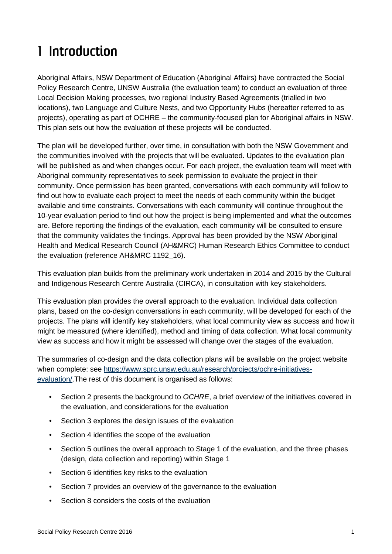# <span id="page-7-0"></span>1 Introduction

Aboriginal Affairs, NSW Department of Education (Aboriginal Affairs) have contracted the Social Policy Research Centre, UNSW Australia (the evaluation team) to conduct an evaluation of three Local Decision Making processes, two regional Industry Based Agreements (trialled in two locations), two Language and Culture Nests, and two Opportunity Hubs (hereafter referred to as projects), operating as part of OCHRE – the community-focused plan for Aboriginal affairs in NSW. This plan sets out how the evaluation of these projects will be conducted.

The plan will be developed further, over time, in consultation with both the NSW Government and the communities involved with the projects that will be evaluated. Updates to the evaluation plan will be published as and when changes occur. For each project, the evaluation team will meet with Aboriginal community representatives to seek permission to evaluate the project in their community. Once permission has been granted, conversations with each community will follow to find out how to evaluate each project to meet the needs of each community within the budget available and time constraints. Conversations with each community will continue throughout the 10-year evaluation period to find out how the project is being implemented and what the outcomes are. Before reporting the findings of the evaluation, each community will be consulted to ensure that the community validates the findings. Approval has been provided by the NSW Aboriginal Health and Medical Research Council (AH&MRC) Human Research Ethics Committee to conduct the evaluation (reference AH&MRC 1192\_16).

This evaluation plan builds from the preliminary work undertaken in 2014 and 2015 by the Cultural and Indigenous Research Centre Australia (CIRCA), in consultation with key stakeholders.

This evaluation plan provides the overall approach to the evaluation. Individual data collection plans, based on the co-design conversations in each community, will be developed for each of the projects. The plans will identify key stakeholders, what local community view as success and how it might be measured (where identified), method and timing of data collection. What local community view as success and how it might be assessed will change over the stages of the evaluation.

The summaries of co-design and the data collection plans will be available on the project website when complete: see [https://www.sprc.unsw.edu.au/research/projects/ochre-initiatives](https://www.sprc.unsw.edu.au/research/projects/ochre-initiatives-evaluation/)[evaluation/.](https://www.sprc.unsw.edu.au/research/projects/ochre-initiatives-evaluation/)The rest of this document is organised as follows:

- Section [2](#page-9-0) presents the background to *OCHRE*, a brief overview of the initiatives covered in the evaluation, and considerations for the evaluation
- Section 3 explores the design issues of the evaluation
- Section 4 identifies the scope of the evaluation
- Section 5 outlines the overall approach to Stage 1 of the evaluation, and the three phases (design, data collection and reporting) within Stage 1
- Section [6](#page-34-0) identifies key risks to the evaluation
- Section [7](#page-36-0) provides an overview of the governance to the evaluation
- Section 8 considers the costs of the evaluation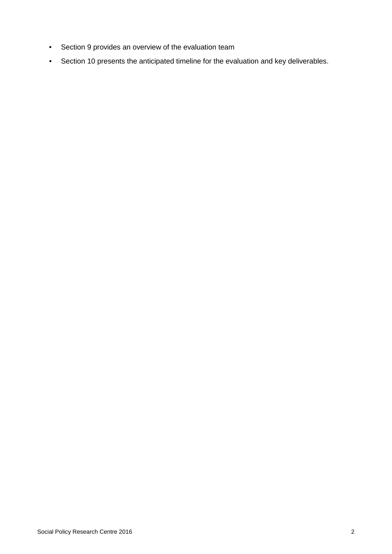- Section 9 provides an overview of the evaluation team
- Section 10 presents the anticipated timeline for the evaluation and key deliverables.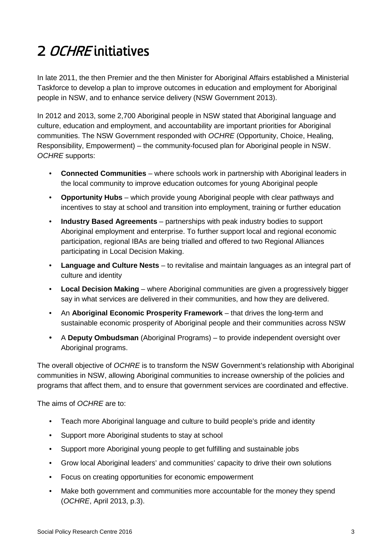# <span id="page-9-0"></span>2 OCHRE initiatives

In late 2011, the then Premier and the then Minister for Aboriginal Affairs established a Ministerial Taskforce to develop a plan to improve outcomes in education and employment for Aboriginal people in NSW, and to enhance service delivery (NSW Government 2013).

In 2012 and 2013, some 2,700 Aboriginal people in NSW stated that Aboriginal language and culture, education and employment, and accountability are important priorities for Aboriginal communities. The NSW Government responded with *OCHRE* (Opportunity, Choice, Healing, Responsibility, Empowerment) – the community-focused plan for Aboriginal people in NSW. *OCHRE* supports:

- **Connected Communities** where schools work in partnership with Aboriginal leaders in the local community to improve education outcomes for young Aboriginal people
- **Opportunity Hubs** which provide young Aboriginal people with clear pathways and incentives to stay at school and transition into employment, training or further education
- **Industry Based Agreements** partnerships with peak industry bodies to support Aboriginal employment and enterprise. To further support local and regional economic participation, regional IBAs are being trialled and offered to two Regional Alliances participating in Local Decision Making.
- **Language and Culture Nests** to revitalise and maintain languages as an integral part of culture and identity
- **Local Decision Making** where Aboriginal communities are given a progressively bigger say in what services are delivered in their communities, and how they are delivered.
- An **Aboriginal Economic Prosperity Framework** that drives the long-term and sustainable economic prosperity of Aboriginal people and their communities across NSW
- A **Deputy Ombudsman** (Aboriginal Programs) to provide independent oversight over Aboriginal programs.

The overall objective of *OCHRE* is to transform the NSW Government's relationship with Aboriginal communities in NSW, allowing Aboriginal communities to increase ownership of the policies and programs that affect them, and to ensure that government services are coordinated and effective.

The aims of *OCHRE* are to:

- Teach more Aboriginal language and culture to build people's pride and identity
- Support more Aboriginal students to stay at school
- Support more Aboriginal young people to get fulfilling and sustainable jobs
- Grow local Aboriginal leaders' and communities' capacity to drive their own solutions
- Focus on creating opportunities for economic empowerment
- Make both government and communities more accountable for the money they spend (*OCHRE*, April 2013, p.3).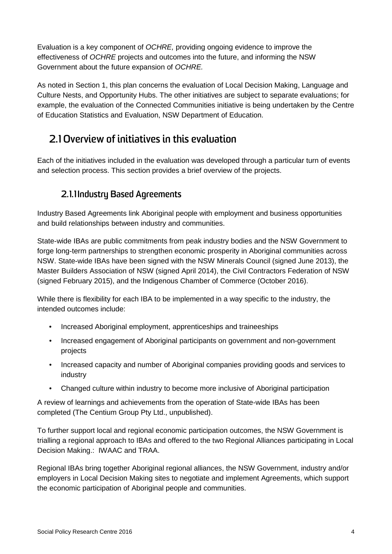Evaluation is a key component of *OCHRE,* providing ongoing evidence to improve the effectiveness of *OCHRE* projects and outcomes into the future, and informing the NSW Government about the future expansion of *OCHRE.* 

As noted in Section 1, this plan concerns the evaluation of Local Decision Making, Language and Culture Nests, and Opportunity Hubs. The other initiatives are subject to separate evaluations; for example, the evaluation of the Connected Communities initiative is being undertaken by the Centre of Education Statistics and Evaluation, NSW Department of Education.

# <span id="page-10-0"></span>**2.1 Overview of initiatives in this evaluation**

Each of the initiatives included in the evaluation was developed through a particular turn of events and selection process. This section provides a brief overview of the projects.

### **2.1.1Industry Based Agreements**

Industry Based Agreements link Aboriginal people with employment and business opportunities and build relationships between industry and communities.

State-wide IBAs are public commitments from peak industry bodies and the NSW Government to forge long-term partnerships to strengthen economic prosperity in Aboriginal communities across NSW. State-wide IBAs have been signed with the NSW Minerals Council (signed June 2013), the Master Builders Association of NSW (signed April 2014), the Civil Contractors Federation of NSW (signed February 2015), and the Indigenous Chamber of Commerce (October 2016).

While there is flexibility for each IBA to be implemented in a way specific to the industry, the intended outcomes include:

- Increased Aboriginal employment, apprenticeships and traineeships
- Increased engagement of Aboriginal participants on government and non-government projects
- Increased capacity and number of Aboriginal companies providing goods and services to industry
- Changed culture within industry to become more inclusive of Aboriginal participation

A review of learnings and achievements from the operation of State-wide IBAs has been completed (The Centium Group Pty Ltd., unpublished).

To further support local and regional economic participation outcomes, the NSW Government is trialling a regional approach to IBAs and offered to the two Regional Alliances participating in Local Decision Making.: IWAAC and TRAA.

Regional IBAs bring together Aboriginal regional alliances, the NSW Government, industry and/or employers in Local Decision Making sites to negotiate and implement Agreements, which support the economic participation of Aboriginal people and communities.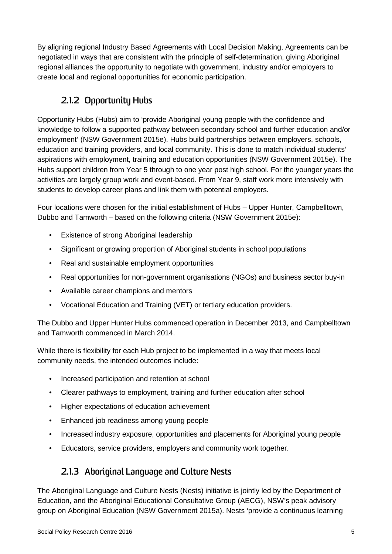By aligning regional Industry Based Agreements with Local Decision Making, Agreements can be negotiated in ways that are consistent with the principle of self-determination, giving Aboriginal regional alliances the opportunity to negotiate with government, industry and/or employers to create local and regional opportunities for economic participation.

## **2.1.2 Opportunity Hubs**

Opportunity Hubs (Hubs) aim to 'provide Aboriginal young people with the confidence and knowledge to follow a supported pathway between secondary school and further education and/or employment' (NSW Government 2015e). Hubs build partnerships between employers, schools, education and training providers, and local community. This is done to match individual students' aspirations with employment, training and education opportunities (NSW Government 2015e). The Hubs support children from Year 5 through to one year post high school. For the younger years the activities are largely group work and event-based. From Year 9, staff work more intensively with students to develop career plans and link them with potential employers.

Four locations were chosen for the initial establishment of Hubs – Upper Hunter, Campbelltown, Dubbo and Tamworth – based on the following criteria (NSW Government 2015e):

- Existence of strong Aboriginal leadership
- Significant or growing proportion of Aboriginal students in school populations
- Real and sustainable employment opportunities
- Real opportunities for non-government organisations (NGOs) and business sector buy-in
- Available career champions and mentors
- Vocational Education and Training (VET) or tertiary education providers.

The Dubbo and Upper Hunter Hubs commenced operation in December 2013, and Campbelltown and Tamworth commenced in March 2014.

While there is flexibility for each Hub project to be implemented in a way that meets local community needs, the intended outcomes include:

- Increased participation and retention at school
- Clearer pathways to employment, training and further education after school
- Higher expectations of education achievement
- Enhanced job readiness among young people
- Increased industry exposure, opportunities and placements for Aboriginal young people
- Educators, service providers, employers and community work together.

### **2.1.3 Aboriginal Language and Culture Nests**

The Aboriginal Language and Culture Nests (Nests) initiative is jointly led by the Department of Education, and the Aboriginal Educational Consultative Group (AECG), NSW's peak advisory group on Aboriginal Education (NSW Government 2015a). Nests 'provide a continuous learning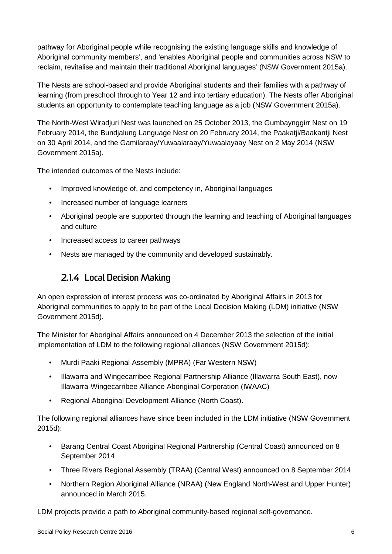pathway for Aboriginal people while recognising the existing language skills and knowledge of Aboriginal community members', and 'enables Aboriginal people and communities across NSW to reclaim, revitalise and maintain their traditional Aboriginal languages' (NSW Government 2015a).

The Nests are school-based and provide Aboriginal students and their families with a pathway of learning (from preschool through to Year 12 and into tertiary education). The Nests offer Aboriginal students an opportunity to contemplate teaching language as a job (NSW Government 2015a).

The North-West Wiradjuri Nest was launched on 25 October 2013, the Gumbaynggirr Nest on 19 February 2014, the Bundjalung Language Nest on 20 February 2014, the Paakatji/Baakantji Nest on 30 April 2014, and the Gamilaraay/Yuwaalaraay/Yuwaalayaay Nest on 2 May 2014 (NSW Government 2015a).

The intended outcomes of the Nests include:

- Improved knowledge of, and competency in, Aboriginal languages
- Increased number of language learners
- Aboriginal people are supported through the learning and teaching of Aboriginal languages and culture
- Increased access to career pathways
- Nests are managed by the community and developed sustainably.

### **2.1.4 Local Decision Making**

An open expression of interest process was co-ordinated by Aboriginal Affairs in 2013 for Aboriginal communities to apply to be part of the Local Decision Making (LDM) initiative (NSW Government 2015d).

The Minister for Aboriginal Affairs announced on 4 December 2013 the selection of the initial implementation of LDM to the following regional alliances (NSW Government 2015d):

- Murdi Paaki Regional Assembly (MPRA) (Far Western NSW)
- Illawarra and Wingecarribee Regional Partnership Alliance (Illawarra South East), now Illawarra-Wingecarribee Alliance Aboriginal Corporation (IWAAC)
- Regional Aboriginal Development Alliance (North Coast).

The following regional alliances have since been included in the LDM initiative (NSW Government 2015d):

- Barang Central Coast Aboriginal Regional Partnership (Central Coast) announced on 8 September 2014
- Three Rivers Regional Assembly (TRAA) (Central West) announced on 8 September 2014
- Northern Region Aboriginal Alliance (NRAA) (New England North-West and Upper Hunter) announced in March 2015.

LDM projects provide a path to Aboriginal community-based regional self-governance.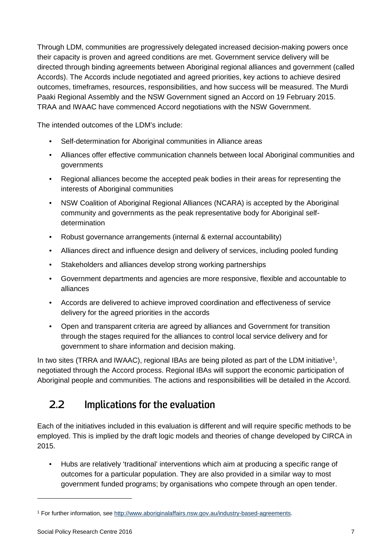Through LDM, communities are progressively delegated increased decision-making powers once their capacity is proven and agreed conditions are met. Government service delivery will be directed through binding agreements between Aboriginal regional alliances and government (called Accords). The Accords include negotiated and agreed priorities, key actions to achieve desired outcomes, timeframes, resources, responsibilities, and how success will be measured. The Murdi Paaki Regional Assembly and the NSW Government signed an Accord on 19 February 2015. TRAA and IWAAC have commenced Accord negotiations with the NSW Government.

The intended outcomes of the LDM's include:

- Self-determination for Aboriginal communities in Alliance areas
- Alliances offer effective communication channels between local Aboriginal communities and governments
- Regional alliances become the accepted peak bodies in their areas for representing the interests of Aboriginal communities
- NSW Coalition of Aboriginal Regional Alliances (NCARA) is accepted by the Aboriginal community and governments as the peak representative body for Aboriginal selfdetermination
- Robust governance arrangements (internal & external accountability)
- Alliances direct and influence design and delivery of services, including pooled funding
- Stakeholders and alliances develop strong working partnerships
- Government departments and agencies are more responsive, flexible and accountable to alliances
- Accords are delivered to achieve improved coordination and effectiveness of service delivery for the agreed priorities in the accords
- Open and transparent criteria are agreed by alliances and Government for transition through the stages required for the alliances to control local service delivery and for government to share information and decision making.

In two sites (TRRA and IWAAC), regional IBAs are being piloted as part of the LDM initiative<sup>[1](#page-13-1)</sup>, negotiated through the Accord process. Regional IBAs will support the economic participation of Aboriginal people and communities. The actions and responsibilities will be detailed in the Accord.

# <span id="page-13-0"></span>**2.2 Implications for the evaluation**

Each of the initiatives included in this evaluation is different and will require specific methods to be employed. This is implied by the draft logic models and theories of change developed by CIRCA in 2015.

• Hubs are relatively 'traditional' interventions which aim at producing a specific range of outcomes for a particular population. They are also provided in a similar way to most government funded programs; by organisations who compete through an open tender.

-

<span id="page-13-1"></span><sup>1</sup> For further information, se[e http://www.aboriginalaffairs.nsw.gov.au/industry-based-agreements.](http://www.aboriginalaffairs.nsw.gov.au/industry-based-agreements)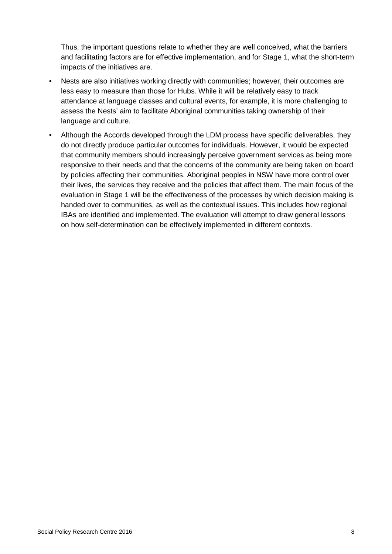Thus, the important questions relate to whether they are well conceived, what the barriers and facilitating factors are for effective implementation, and for Stage 1, what the short-term impacts of the initiatives are.

- Nests are also initiatives working directly with communities; however, their outcomes are less easy to measure than those for Hubs. While it will be relatively easy to track attendance at language classes and cultural events, for example, it is more challenging to assess the Nests' aim to facilitate Aboriginal communities taking ownership of their language and culture.
- Although the Accords developed through the LDM process have specific deliverables, they do not directly produce particular outcomes for individuals. However, it would be expected that community members should increasingly perceive government services as being more responsive to their needs and that the concerns of the community are being taken on board by policies affecting their communities. Aboriginal peoples in NSW have more control over their lives, the services they receive and the policies that affect them. The main focus of the evaluation in Stage 1 will be the effectiveness of the processes by which decision making is handed over to communities, as well as the contextual issues. This includes how regional IBAs are identified and implemented. The evaluation will attempt to draw general lessons on how self-determination can be effectively implemented in different contexts.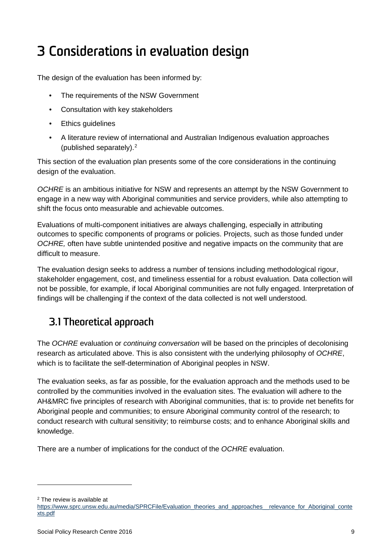# <span id="page-15-0"></span>3 Considerations in evaluation design

The design of the evaluation has been informed by:

- The requirements of the NSW Government
- Consultation with key stakeholders
- Ethics guidelines
- A literature review of international and Australian Indigenous evaluation approaches (published separately).[2](#page-15-2)

This section of the evaluation plan presents some of the core considerations in the continuing design of the evaluation.

*OCHRE* is an ambitious initiative for NSW and represents an attempt by the NSW Government to engage in a new way with Aboriginal communities and service providers, while also attempting to shift the focus onto measurable and achievable outcomes.

Evaluations of multi-component initiatives are always challenging, especially in attributing outcomes to specific components of programs or policies. Projects, such as those funded under *OCHRE,* often have subtle unintended positive and negative impacts on the community that are difficult to measure.

The evaluation design seeks to address a number of tensions including methodological rigour, stakeholder engagement, cost, and timeliness essential for a robust evaluation. Data collection will not be possible, for example, if local Aboriginal communities are not fully engaged. Interpretation of findings will be challenging if the context of the data collected is not well understood.

# <span id="page-15-1"></span>**3.1 Theoretical approach**

The *OCHRE* evaluation or *continuing conversation* will be based on the principles of decolonising research as articulated above. This is also consistent with the underlying philosophy of *OCHRE*, which is to facilitate the self-determination of Aboriginal peoples in NSW.

The evaluation seeks, as far as possible, for the evaluation approach and the methods used to be controlled by the communities involved in the evaluation sites. The evaluation will adhere to the AH&MRC five principles of research with Aboriginal communities, that is: to provide net benefits for Aboriginal people and communities; to ensure Aboriginal community control of the research; to conduct research with cultural sensitivity; to reimburse costs; and to enhance Aboriginal skills and knowledge.

There are a number of implications for the conduct of the *OCHRE* evaluation.

-

<span id="page-15-2"></span><sup>2</sup> The review is available at

[https://www.sprc.unsw.edu.au/media/SPRCFile/Evaluation\\_theories\\_and\\_approaches\\_\\_relevance\\_for\\_Aboriginal\\_conte](https://www.sprc.unsw.edu.au/media/SPRCFile/Evaluation_theories_and_approaches__relevance_for_Aboriginal_contexts.pdf) [xts.pdf](https://www.sprc.unsw.edu.au/media/SPRCFile/Evaluation_theories_and_approaches__relevance_for_Aboriginal_contexts.pdf)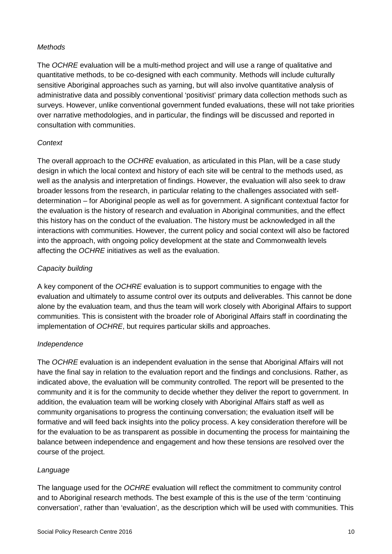#### *Methods*

The *OCHRE* evaluation will be a multi-method project and will use a range of qualitative and quantitative methods, to be co-designed with each community. Methods will include culturally sensitive Aboriginal approaches such as yarning, but will also involve quantitative analysis of administrative data and possibly conventional 'positivist' primary data collection methods such as surveys. However, unlike conventional government funded evaluations, these will not take priorities over narrative methodologies, and in particular, the findings will be discussed and reported in consultation with communities.

### *Context*

The overall approach to the *OCHRE* evaluation, as articulated in this Plan, will be a case study design in which the local context and history of each site will be central to the methods used, as well as the analysis and interpretation of findings. However, the evaluation will also seek to draw broader lessons from the research, in particular relating to the challenges associated with selfdetermination – for Aboriginal people as well as for government. A significant contextual factor for the evaluation is the history of research and evaluation in Aboriginal communities, and the effect this history has on the conduct of the evaluation. The history must be acknowledged in all the interactions with communities. However, the current policy and social context will also be factored into the approach, with ongoing policy development at the state and Commonwealth levels affecting the *OCHRE* initiatives as well as the evaluation.

### *Capacity building*

A key component of the *OCHRE* evaluation is to support communities to engage with the evaluation and ultimately to assume control over its outputs and deliverables. This cannot be done alone by the evaluation team, and thus the team will work closely with Aboriginal Affairs to support communities. This is consistent with the broader role of Aboriginal Affairs staff in coordinating the implementation of *OCHRE*, but requires particular skills and approaches.

### *Independence*

The *OCHRE* evaluation is an independent evaluation in the sense that Aboriginal Affairs will not have the final say in relation to the evaluation report and the findings and conclusions. Rather, as indicated above, the evaluation will be community controlled. The report will be presented to the community and it is for the community to decide whether they deliver the report to government. In addition, the evaluation team will be working closely with Aboriginal Affairs staff as well as community organisations to progress the continuing conversation; the evaluation itself will be formative and will feed back insights into the policy process. A key consideration therefore will be for the evaluation to be as transparent as possible in documenting the process for maintaining the balance between independence and engagement and how these tensions are resolved over the course of the project.

### *Language*

The language used for the *OCHRE* evaluation will reflect the commitment to community control and to Aboriginal research methods. The best example of this is the use of the term 'continuing conversation', rather than 'evaluation', as the description which will be used with communities. This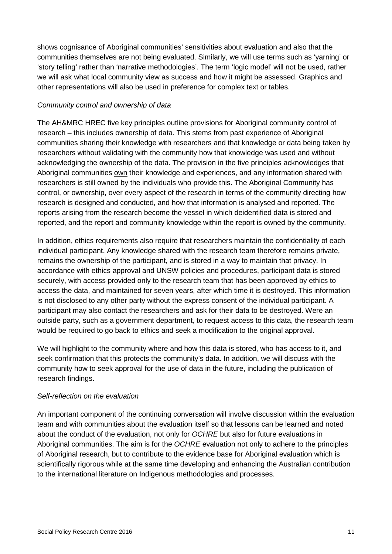shows cognisance of Aboriginal communities' sensitivities about evaluation and also that the communities themselves are not being evaluated. Similarly, we will use terms such as 'yarning' or 'story telling' rather than 'narrative methodologies'. The term 'logic model' will not be used, rather we will ask what local community view as success and how it might be assessed. Graphics and other representations will also be used in preference for complex text or tables.

#### *Community control and ownership of data*

The AH&MRC HREC five key principles outline provisions for Aboriginal community control of research – this includes ownership of data. This stems from past experience of Aboriginal communities sharing their knowledge with researchers and that knowledge or data being taken by researchers without validating with the community how that knowledge was used and without acknowledging the ownership of the data. The provision in the five principles acknowledges that Aboriginal communities own their knowledge and experiences, and any information shared with researchers is still owned by the individuals who provide this. The Aboriginal Community has control, or ownership, over every aspect of the research in terms of the community directing how research is designed and conducted, and how that information is analysed and reported. The reports arising from the research become the vessel in which deidentified data is stored and reported, and the report and community knowledge within the report is owned by the community.

In addition, ethics requirements also require that researchers maintain the confidentiality of each individual participant. Any knowledge shared with the research team therefore remains private, remains the ownership of the participant, and is stored in a way to maintain that privacy. In accordance with ethics approval and UNSW policies and procedures, participant data is stored securely, with access provided only to the research team that has been approved by ethics to access the data, and maintained for seven years, after which time it is destroyed. This information is not disclosed to any other party without the express consent of the individual participant. A participant may also contact the researchers and ask for their data to be destroyed. Were an outside party, such as a government department, to request access to this data, the research team would be required to go back to ethics and seek a modification to the original approval.

We will highlight to the community where and how this data is stored, who has access to it, and seek confirmation that this protects the community's data. In addition, we will discuss with the community how to seek approval for the use of data in the future, including the publication of research findings.

### *Self-reflection on the evaluation*

An important component of the continuing conversation will involve discussion within the evaluation team and with communities about the evaluation itself so that lessons can be learned and noted about the conduct of the evaluation, not only for *OCHRE* but also for future evaluations in Aboriginal communities. The aim is for the *OCHRE* evaluation not only to adhere to the principles of Aboriginal research, but to contribute to the evidence base for Aboriginal evaluation which is scientifically rigorous while at the same time developing and enhancing the Australian contribution to the international literature on Indigenous methodologies and processes.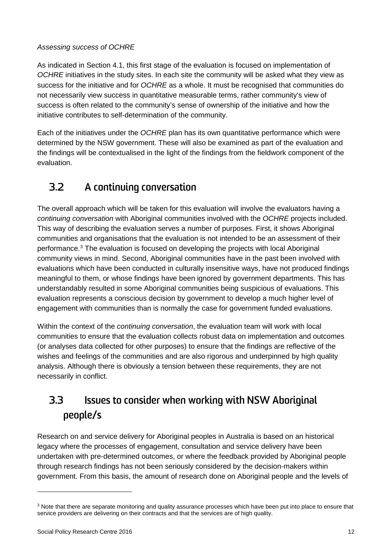### *Assessing success of OCHRE*

As indicated in Section [4.1,](#page-22-1) this first stage of the evaluation is focused on implementation of *OCHRE* initiatives in the study sites. In each site the community will be asked what they view as success for the initiative and for *OCHRE* as a whole. It must be recognised that communities do not necessarily view success in quantitative measurable terms, rather community's view of success is often related to the community's sense of ownership of the initiative and how the initiative contributes to self-determination of the community.

Each of the initiatives under the *OCHRE* plan has its own quantitative performance which were determined by the NSW government. These will also be examined as part of the evaluation and the findings will be contextualised in the light of the findings from the fieldwork component of the evaluation.

## <span id="page-18-0"></span>**3.2 A continuing conversation**

The overall approach which will be taken for this evaluation will involve the evaluators having a *continuing conversation* with Aboriginal communities involved with the *OCHRE* projects included. This way of describing the evaluation serves a number of purposes. First, it shows Aboriginal communities and organisations that the evaluation is not intended to be an assessment of their performance.[3](#page-18-2) The evaluation is focused on developing the projects with local Aboriginal community views in mind. Second, Aboriginal communities have in the past been involved with evaluations which have been conducted in culturally insensitive ways, have not produced findings meaningful to them, or whose findings have been ignored by government departments. This has understandably resulted in some Aboriginal communities being suspicious of evaluations. This evaluation represents a conscious decision by government to develop a much higher level of engagement with communities than is normally the case for government funded evaluations.

Within the context of the *continuing conversation*, the evaluation team will work with local communities to ensure that the evaluation collects robust data on implementation and outcomes (or analyses data collected for other purposes) to ensure that the findings are reflective of the wishes and feelings of the communities and are also rigorous and underpinned by high quality analysis. Although there is obviously a tension between these requirements, they are not necessarily in conflict.

# <span id="page-18-1"></span>**3.3 Issues to consider when working with NSW Aboriginal people/s**

Research on and service delivery for Aboriginal peoples in Australia is based on an historical legacy where the processes of engagement, consultation and service delivery have been undertaken with pre-determined outcomes, or where the feedback provided by Aboriginal people through research findings has not been seriously considered by the decision-makers within government. From this basis, the amount of research done on Aboriginal people and the levels of

-

<span id="page-18-2"></span><sup>&</sup>lt;sup>3</sup> Note that there are separate monitoring and quality assurance processes which have been put into place to ensure that service providers are delivering on their contracts and that the services are of high quality.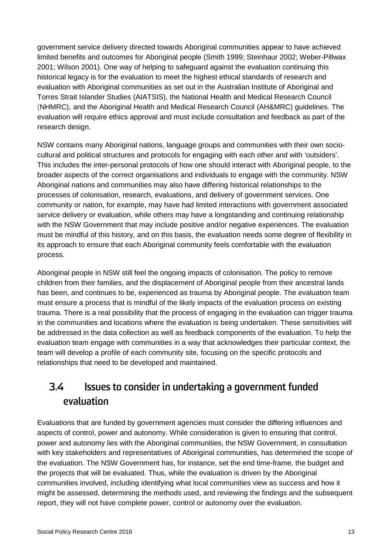government service delivery directed towards Aboriginal communities appear to have achieved limited benefits and outcomes for Aboriginal people (Smith 1999; Steinhaur 2002; Weber-Pillwax 2001; Wilson 2001). One way of helping to safeguard against the evaluation continuing this historical legacy is for the evaluation to meet the highest ethical standards of research and evaluation with Aboriginal communities as set out in the Australian Institute of Aboriginal and Torres Strait Islander Studies (AIATSIS), the National Health and Medical Research Council (NHMRC), and the Aboriginal Health and Medical Research Council (AH&MRC) guidelines. The evaluation will require ethics approval and must include consultation and feedback as part of the research design.

NSW contains many Aboriginal nations, language groups and communities with their own sociocultural and political structures and protocols for engaging with each other and with 'outsiders'. This includes the inter-personal protocols of how one should interact with Aboriginal people, to the broader aspects of the correct organisations and individuals to engage with the community. NSW Aboriginal nations and communities may also have differing historical relationships to the processes of colonisation, research, evaluations, and delivery of government services. One community or nation, for example, may have had limited interactions with government associated service delivery or evaluation, while others may have a longstanding and continuing relationship with the NSW Government that may include positive and/or negative experiences. The evaluation must be mindful of this history, and on this basis, the evaluation needs some degree of flexibility in its approach to ensure that each Aboriginal community feels comfortable with the evaluation process.

Aboriginal people in NSW still feel the ongoing impacts of colonisation. The policy to remove children from their families, and the displacement of Aboriginal people from their ancestral lands has been, and continues to be, experienced as trauma by Aboriginal people. The evaluation team must ensure a process that is mindful of the likely impacts of the evaluation process on existing trauma. There is a real possibility that the process of engaging in the evaluation can trigger trauma in the communities and locations where the evaluation is being undertaken. These sensitivities will be addressed in the data collection as well as feedback components of the evaluation. To help the evaluation team engage with communities in a way that acknowledges their particular context, the team will develop a profile of each community site, focusing on the specific protocols and relationships that need to be developed and maintained.

# <span id="page-19-0"></span>**3.4 Issues to consider in undertaking a government funded evaluation**

Evaluations that are funded by government agencies must consider the differing influences and aspects of control, power and autonomy. While consideration is given to ensuring that control, power and autonomy lies with the Aboriginal communities, the NSW Government, in consultation with key stakeholders and representatives of Aboriginal communities, has determined the scope of the evaluation. The NSW Government has, for instance, set the end time-frame, the budget and the projects that will be evaluated. Thus, while the evaluation is driven by the Aboriginal communities involved, including identifying what local communities view as success and how it might be assessed, determining the methods used, and reviewing the findings and the subsequent report, they will not have complete power, control or autonomy over the evaluation.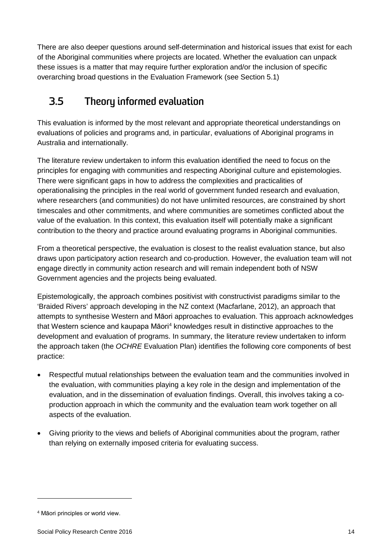There are also deeper questions around self-determination and historical issues that exist for each of the Aboriginal communities where projects are located. Whether the evaluation can unpack these issues is a matter that may require further exploration and/or the inclusion of specific overarching broad questions in the Evaluation Framework (see Section 5.1)

# <span id="page-20-0"></span>**3.5 Theory informed evaluation**

This evaluation is informed by the most relevant and appropriate theoretical understandings on evaluations of policies and programs and, in particular, evaluations of Aboriginal programs in Australia and internationally.

The literature review undertaken to inform this evaluation identified the need to focus on the principles for engaging with communities and respecting Aboriginal culture and epistemologies. There were significant gaps in how to address the complexities and practicalities of operationalising the principles in the real world of government funded research and evaluation, where researchers (and communities) do not have unlimited resources, are constrained by short timescales and other commitments, and where communities are sometimes conflicted about the value of the evaluation. In this context, this evaluation itself will potentially make a significant contribution to the theory and practice around evaluating programs in Aboriginal communities.

From a theoretical perspective, the evaluation is closest to the realist evaluation stance, but also draws upon participatory action research and co-production. However, the evaluation team will not engage directly in community action research and will remain independent both of NSW Government agencies and the projects being evaluated.

Epistemologically, the approach combines positivist with constructivist paradigms similar to the 'Braided Rivers' approach developing in the NZ context [\(Macfarlane, 2012\)](#page-41-1), an approach that attempts to synthesise Western and Māori approaches to evaluation. This approach acknowledges that Western science and kaupapa Māori<sup>[4](#page-20-1)</sup> knowledges result in distinctive approaches to the development and evaluation of programs. In summary, the literature review undertaken to inform the approach taken (the *OCHRE* Evaluation Plan) identifies the following core components of best practice:

- Respectful mutual relationships between the evaluation team and the communities involved in the evaluation, with communities playing a key role in the design and implementation of the evaluation, and in the dissemination of evaluation findings. Overall, this involves taking a coproduction approach in which the community and the evaluation team work together on all aspects of the evaluation.
- Giving priority to the views and beliefs of Aboriginal communities about the program, rather than relying on externally imposed criteria for evaluating success.

-

<span id="page-20-1"></span><sup>4</sup> Māori principles or world view.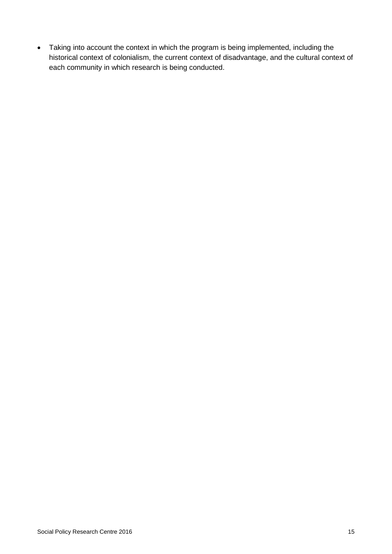• Taking into account the context in which the program is being implemented, including the historical context of colonialism, the current context of disadvantage, and the cultural context of each community in which research is being conducted.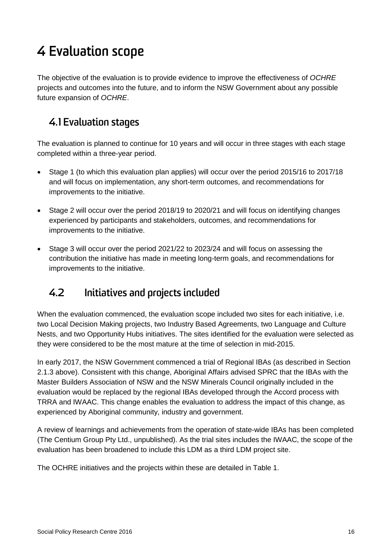# <span id="page-22-0"></span>4 Evaluation scope

The objective of the evaluation is to provide evidence to improve the effectiveness of *OCHRE* projects and outcomes into the future, and to inform the NSW Government about any possible future expansion of *OCHRE*.

## <span id="page-22-1"></span>**4.1 Evaluation stages**

The evaluation is planned to continue for 10 years and will occur in three stages with each stage completed within a three-year period.

- Stage 1 (to which this evaluation plan applies) will occur over the period 2015/16 to 2017/18 and will focus on implementation, any short-term outcomes, and recommendations for improvements to the initiative.
- Stage 2 will occur over the period 2018/19 to 2020/21 and will focus on identifying changes experienced by participants and stakeholders, outcomes, and recommendations for improvements to the initiative.
- Stage 3 will occur over the period 2021/22 to 2023/24 and will focus on assessing the contribution the initiative has made in meeting long-term goals, and recommendations for improvements to the initiative.

## <span id="page-22-2"></span>**4.2 Initiatives and projects included**

When the evaluation commenced, the evaluation scope included two sites for each initiative, i.e. two Local Decision Making projects, two Industry Based Agreements, two Language and Culture Nests, and two Opportunity Hubs initiatives. The sites identified for the evaluation were selected as they were considered to be the most mature at the time of selection in mid-2015.

In early 2017, the NSW Government commenced a trial of Regional IBAs (as described in Section 2.1.3 above). Consistent with this change, Aboriginal Affairs advised SPRC that the IBAs with the Master Builders Association of NSW and the NSW Minerals Council originally included in the evaluation would be replaced by the regional IBAs developed through the Accord process with TRRA and IWAAC. This change enables the evaluation to address the impact of this change, as experienced by Aboriginal community, industry and government.

A review of learnings and achievements from the operation of state-wide IBAs has been completed (The Centium Group Pty Ltd., unpublished). As the trial sites includes the IWAAC, the scope of the evaluation has been broadened to include this LDM as a third LDM project site.

The OCHRE initiatives and the projects within these are detailed in [Table 1.](#page-23-0)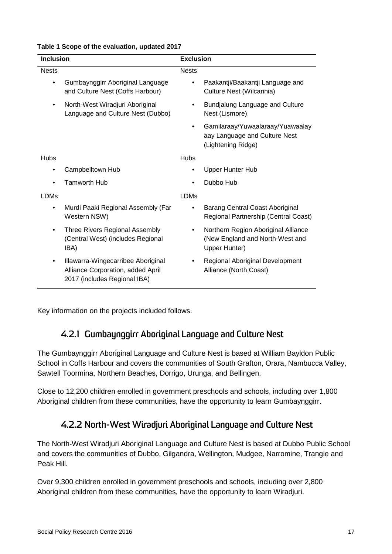| <b>Inclusion</b> |                                                                                                         | <b>Exclusion</b> |                                                                                         |  |
|------------------|---------------------------------------------------------------------------------------------------------|------------------|-----------------------------------------------------------------------------------------|--|
| <b>Nests</b>     |                                                                                                         | <b>Nests</b>     |                                                                                         |  |
| $\bullet$        | Gumbaynggirr Aboriginal Language<br>and Culture Nest (Coffs Harbour)                                    | $\bullet$        | Paakantji/Baakantji Language and<br>Culture Nest (Wilcannia)                            |  |
| $\bullet$        | North-West Wiradjuri Aboriginal<br>Language and Culture Nest (Dubbo)                                    | $\bullet$        | Bundjalung Language and Culture<br>Nest (Lismore)                                       |  |
|                  |                                                                                                         | $\bullet$        | Gamilaraay/Yuwaalaraay/Yuawaalay<br>aay Language and Culture Nest<br>(Lightening Ridge) |  |
| <b>Hubs</b>      |                                                                                                         | <b>Hubs</b>      |                                                                                         |  |
| ٠                | Campbelltown Hub                                                                                        | $\bullet$        | <b>Upper Hunter Hub</b>                                                                 |  |
|                  | Tamworth Hub                                                                                            |                  | Dubbo Hub                                                                               |  |
| <b>LDMs</b>      |                                                                                                         | <b>LDMs</b>      |                                                                                         |  |
| $\bullet$        | Murdi Paaki Regional Assembly (Far<br>Western NSW)                                                      |                  | Barang Central Coast Aboriginal<br>Regional Partnership (Central Coast)                 |  |
| ٠                | Three Rivers Regional Assembly<br>(Central West) (includes Regional<br>IBA)                             | ٠                | Northern Region Aboriginal Alliance<br>(New England and North-West and<br>Upper Hunter) |  |
| ٠                | Illawarra-Wingecarribee Aboriginal<br>Alliance Corporation, added April<br>2017 (includes Regional IBA) |                  | Regional Aboriginal Development<br>Alliance (North Coast)                               |  |

#### <span id="page-23-0"></span>**Table 1 Scope of the evaluation, updated 2017**

Key information on the projects included follows.

### **4.2.1 Gumbaynggirr Aboriginal Language and Culture Nest**

The Gumbaynggirr Aboriginal Language and Culture Nest is based at William Bayldon Public School in Coffs Harbour and covers the communities of South Grafton, Orara, Nambucca Valley, Sawtell Toormina, Northern Beaches, Dorrigo, Urunga, and Bellingen.

Close to 12,200 children enrolled in government preschools and schools, including over 1,800 Aboriginal children from these communities, have the opportunity to learn Gumbaynggirr.

### **4.2.2 North-West Wiradjuri Aboriginal Language and Culture Nest**

The North-West Wiradjuri Aboriginal Language and Culture Nest is based at Dubbo Public School and covers the communities of Dubbo, Gilgandra, Wellington, Mudgee, Narromine, Trangie and Peak Hill.

Over 9,300 children enrolled in government preschools and schools, including over 2,800 Aboriginal children from these communities, have the opportunity to learn Wiradjuri.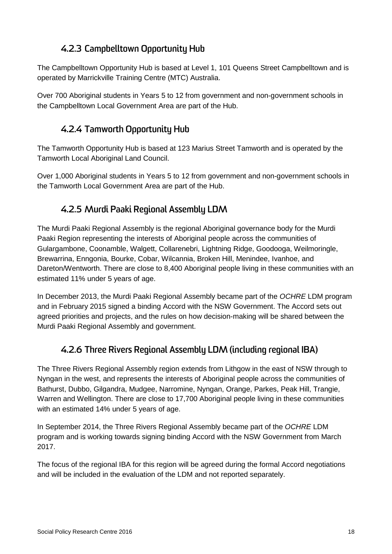## **4.2.3 Campbelltown Opportunity Hub**

The Campbelltown Opportunity Hub is based at Level 1, 101 Queens Street Campbelltown and is operated by Marrickville Training Centre (MTC) Australia.

Over 700 Aboriginal students in Years 5 to 12 from government and non-government schools in the Campbelltown Local Government Area are part of the Hub.

### **4.2.4 Tamworth Opportunity Hub**

The Tamworth Opportunity Hub is based at 123 Marius Street Tamworth and is operated by the Tamworth Local Aboriginal Land Council.

Over 1,000 Aboriginal students in Years 5 to 12 from government and non-government schools in the Tamworth Local Government Area are part of the Hub.

### **4.2.5 Murdi Paaki Regional Assembly LDM**

The Murdi Paaki Regional Assembly is the regional Aboriginal governance body for the Murdi Paaki Region representing the interests of Aboriginal people across the communities of Gulargambone, Coonamble, Walgett, Collarenebri, Lightning Ridge, Goodooga, Weilmoringle, Brewarrina, Enngonia, Bourke, Cobar, Wilcannia, Broken Hill, Menindee, Ivanhoe, and Dareton/Wentworth. There are close to 8,400 Aboriginal people living in these communities with an estimated 11% under 5 years of age.

In December 2013, the Murdi Paaki Regional Assembly became part of the *OCHRE* LDM program and in February 2015 signed a binding Accord with the NSW Government. The Accord sets out agreed priorities and projects, and the rules on how decision-making will be shared between the Murdi Paaki Regional Assembly and government.

## **4.2.6 Three Rivers Regional Assembly LDM (including regional IBA)**

The Three Rivers Regional Assembly region extends from Lithgow in the east of NSW through to Nyngan in the west, and represents the interests of Aboriginal people across the communities of Bathurst, Dubbo, Gilgandra, Mudgee, Narromine, Nyngan, Orange, Parkes, Peak Hill, Trangie, Warren and Wellington. There are close to 17,700 Aboriginal people living in these communities with an estimated 14% under 5 years of age.

In September 2014, the Three Rivers Regional Assembly became part of the *OCHRE* LDM program and is working towards signing binding Accord with the NSW Government from March 2017.

The focus of the regional IBA for this region will be agreed during the formal Accord negotiations and will be included in the evaluation of the LDM and not reported separately.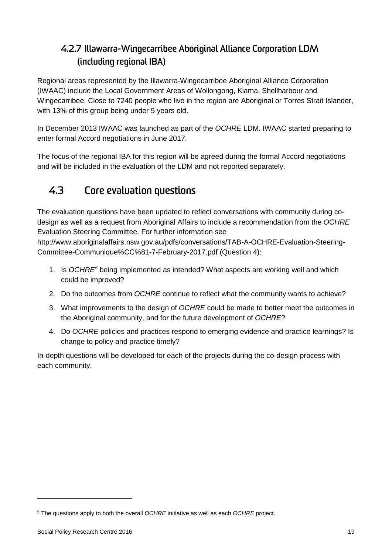## **4.2.7 Illawarra-Wingecarribee Aboriginal Alliance Corporation LDM (including regional IBA)**

Regional areas represented by the Illawarra-Wingecarribee Aboriginal Alliance Corporation (IWAAC) include the Local Government Areas of Wollongong, Kiama, Shellharbour and Wingecarribee. Close to 7240 people who live in the region are Aboriginal or Torres Strait Islander, with 13% of this group being under 5 years old.

In December 2013 IWAAC was launched as part of the *OCHRE* LDM. IWAAC started preparing to enter formal Accord negotiations in June 2017.

The focus of the regional IBA for this region will be agreed during the formal Accord negotiations and will be included in the evaluation of the LDM and not reported separately.

# <span id="page-25-0"></span>**4.3 Core evaluation questions**

The evaluation questions have been updated to reflect conversations with community during codesign as well as a request from Aboriginal Affairs to include a recommendation from the *OCHRE* Evaluation Steering Committee. For further information see

http://www.aboriginalaffairs.nsw.gov.au/pdfs/conversations/TAB-A-OCHRE-Evaluation-Steering-Committee-Communique%CC%81-7-February-2017.pdf (Question 4):

- 1. Is *OCHRE[5](#page-25-1)* being implemented as intended? What aspects are working well and which could be improved?
- 2. Do the outcomes from *OCHRE* continue to reflect what the community wants to achieve?
- 3. What improvements to the design of *OCHRE* could be made to better meet the outcomes in the Aboriginal community, and for the future development of *OCHRE*?
- 4. Do *OCHRE* policies and practices respond to emerging evidence and practice learnings? Is change to policy and practice timely?

In-depth questions will be developed for each of the projects during the co-design process with each community.

-

<span id="page-25-1"></span><sup>5</sup> The questions apply to both the overall *OCHRE* initiative as well as each *OCHRE* project.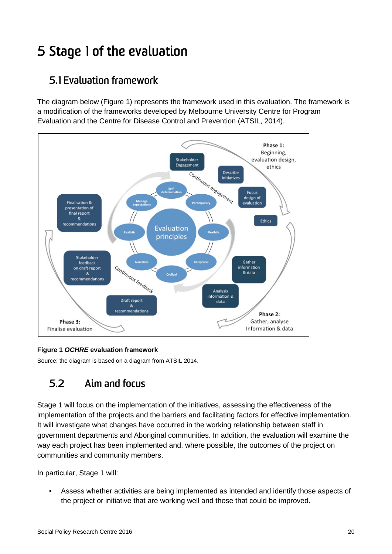# <span id="page-26-0"></span>5 Stage 1 of the evaluation

## <span id="page-26-1"></span>**5.1 Evaluation framework**

The diagram below (Figure 1) represents the framework used in this evaluation. The framework is a modification of the frameworks developed by Melbourne University Centre for Program Evaluation and the Centre for Disease Control and Prevention (ATSIL, 2014).



### <span id="page-26-3"></span>**Figure 1** *OCHRE* **evaluation framework**

Source: the diagram is based on a diagram from ATSIL 2014.

# <span id="page-26-2"></span>**5.2 Aim and focus**

Stage 1 will focus on the implementation of the initiatives, assessing the effectiveness of the implementation of the projects and the barriers and facilitating factors for effective implementation. It will investigate what changes have occurred in the working relationship between staff in government departments and Aboriginal communities. In addition, the evaluation will examine the way each project has been implemented and, where possible, the outcomes of the project on communities and community members.

In particular, Stage 1 will:

• Assess whether activities are being implemented as intended and identify those aspects of the project or initiative that are working well and those that could be improved.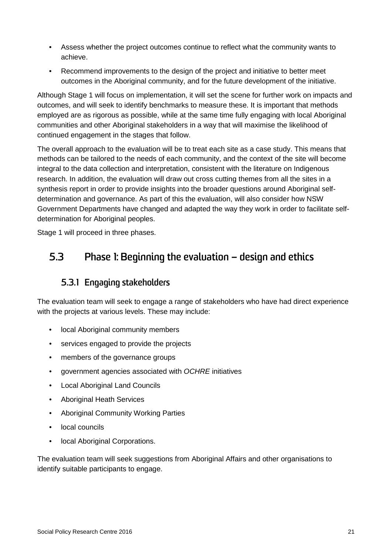- Assess whether the project outcomes continue to reflect what the community wants to achieve.
- Recommend improvements to the design of the project and initiative to better meet outcomes in the Aboriginal community, and for the future development of the initiative.

Although Stage 1 will focus on implementation, it will set the scene for further work on impacts and outcomes, and will seek to identify benchmarks to measure these. It is important that methods employed are as rigorous as possible, while at the same time fully engaging with local Aboriginal communities and other Aboriginal stakeholders in a way that will maximise the likelihood of continued engagement in the stages that follow.

The overall approach to the evaluation will be to treat each site as a case study. This means that methods can be tailored to the needs of each community, and the context of the site will become integral to the data collection and interpretation, consistent with the literature on Indigenous research. In addition, the evaluation will draw out cross cutting themes from all the sites in a synthesis report in order to provide insights into the broader questions around Aboriginal selfdetermination and governance. As part of this the evaluation, will also consider how NSW Government Departments have changed and adapted the way they work in order to facilitate selfdetermination for Aboriginal peoples.

<span id="page-27-0"></span>Stage 1 will proceed in three phases.

## **5.3 Phase 1: Beginning the evaluation – design and ethics**

### **5.3.1 Engaging stakeholders**

The evaluation team will seek to engage a range of stakeholders who have had direct experience with the projects at various levels. These may include:

- local Aboriginal community members
- services engaged to provide the projects
- members of the governance groups
- government agencies associated with *OCHRE* initiatives
- Local Aboriginal Land Councils
- Aboriginal Heath Services
- Aboriginal Community Working Parties
- local councils
- local Aboriginal Corporations.

The evaluation team will seek suggestions from Aboriginal Affairs and other organisations to identify suitable participants to engage.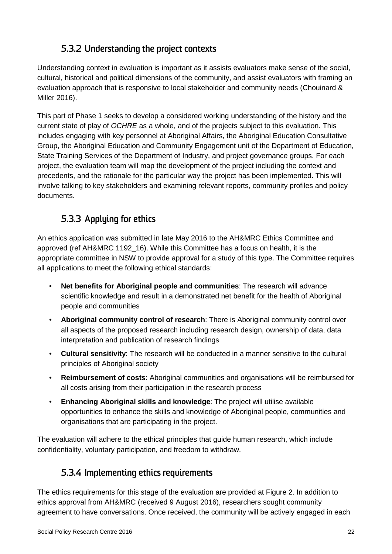## **5.3.2 Understanding the project contexts**

Understanding context in evaluation is important as it assists evaluators make sense of the social, cultural, historical and political dimensions of the community, and assist evaluators with framing an evaluation approach that is responsive to local stakeholder and community needs (Chouinard & Miller 2016).

This part of Phase 1 seeks to develop a considered working understanding of the history and the current state of play of *OCHRE* as a whole, and of the projects subject to this evaluation. This includes engaging with key personnel at Aboriginal Affairs, the Aboriginal Education Consultative Group, the Aboriginal Education and Community Engagement unit of the Department of Education, State Training Services of the Department of Industry, and project governance groups. For each project, the evaluation team will map the development of the project including the context and precedents, and the rationale for the particular way the project has been implemented. This will involve talking to key stakeholders and examining relevant reports, community profiles and policy documents.

## **5.3.3 Applying for ethics**

An ethics application was submitted in late May 2016 to the AH&MRC Ethics Committee and approved (ref AH&MRC 1192\_16). While this Committee has a focus on health, it is the appropriate committee in NSW to provide approval for a study of this type. The Committee requires all applications to meet the following ethical standards:

- **Net benefits for Aboriginal people and communities**: The research will advance scientific knowledge and result in a demonstrated net benefit for the health of Aboriginal people and communities
- **Aboriginal community control of research**: There is Aboriginal community control over all aspects of the proposed research including research design, ownership of data, data interpretation and publication of research findings
- **Cultural sensitivity**: The research will be conducted in a manner sensitive to the cultural principles of Aboriginal society
- **Reimbursement of costs**: Aboriginal communities and organisations will be reimbursed for all costs arising from their participation in the research process
- **Enhancing Aboriginal skills and knowledge**: The project will utilise available opportunities to enhance the skills and knowledge of Aboriginal people, communities and organisations that are participating in the project.

The evaluation will adhere to the ethical principles that guide human research, which include confidentiality, voluntary participation, and freedom to withdraw.

## **5.3.4 Implementing ethics requirements**

The ethics requirements for this stage of the evaluation are provided at [Figure 2.](#page-29-1) In addition to ethics approval from AH&MRC (received 9 August 2016), researchers sought community agreement to have conversations. Once received, the community will be actively engaged in each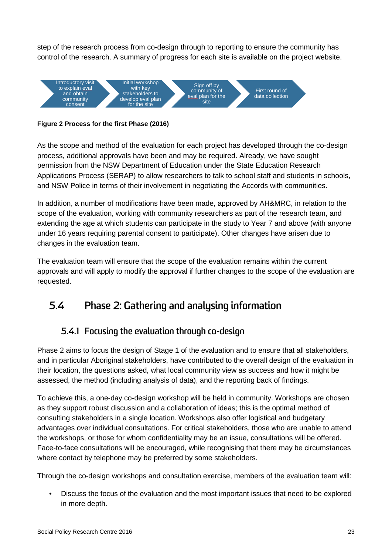step of the research process from co-design through to reporting to ensure the community has control of the research. A summary of progress for each site is available on the project website.



<span id="page-29-1"></span>**Figure 2 Process for the first Phase (2016)**

As the scope and method of the evaluation for each project has developed through the co-design process, additional approvals have been and may be required. Already, we have sought permission from the NSW Department of Education under the State Education Research Applications Process (SERAP) to allow researchers to talk to school staff and students in schools, and NSW Police in terms of their involvement in negotiating the Accords with communities.

In addition, a number of modifications have been made, approved by AH&MRC, in relation to the scope of the evaluation, working with community researchers as part of the research team, and extending the age at which students can participate in the study to Year 7 and above (with anyone under 16 years requiring parental consent to participate). Other changes have arisen due to changes in the evaluation team.

The evaluation team will ensure that the scope of the evaluation remains within the current approvals and will apply to modify the approval if further changes to the scope of the evaluation are requested.

# <span id="page-29-0"></span>**5.4 Phase 2: Gathering and analysing information**

### **5.4.1 Focusing the evaluation through co-design**

<span id="page-29-2"></span>Phase 2 aims to focus the design of Stage 1 of the evaluation and to ensure that all stakeholders, and in particular Aboriginal stakeholders, have contributed to the overall design of the evaluation in their location, the questions asked, what local community view as success and how it might be assessed, the method (including analysis of data), and the reporting back of findings.

To achieve this, a one-day co-design workshop will be held in community. Workshops are chosen as they support robust discussion and a collaboration of ideas; this is the optimal method of consulting stakeholders in a single location. Workshops also offer logistical and budgetary advantages over individual consultations. For critical stakeholders, those who are unable to attend the workshops, or those for whom confidentiality may be an issue, consultations will be offered. Face-to-face consultations will be encouraged, while recognising that there may be circumstances where contact by telephone may be preferred by some stakeholders.

Through the co-design workshops and consultation exercise, members of the evaluation team will:

• Discuss the focus of the evaluation and the most important issues that need to be explored in more depth.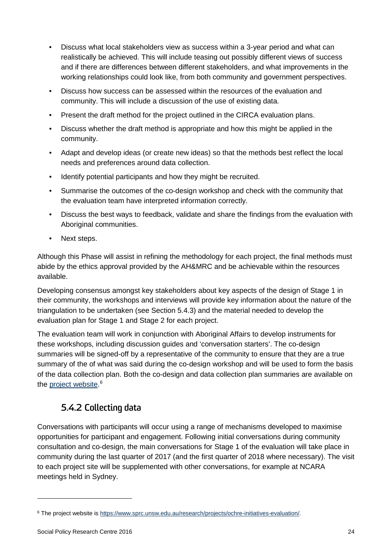- Discuss what local stakeholders view as success within a 3-year period and what can realistically be achieved. This will include teasing out possibly different views of success and if there are differences between different stakeholders, and what improvements in the working relationships could look like, from both community and government perspectives.
- Discuss how success can be assessed within the resources of the evaluation and community. This will include a discussion of the use of existing data.
- Present the draft method for the project outlined in the CIRCA evaluation plans.
- Discuss whether the draft method is appropriate and how this might be applied in the community.
- Adapt and develop ideas (or create new ideas) so that the methods best reflect the local needs and preferences around data collection.
- Identify potential participants and how they might be recruited.
- Summarise the outcomes of the co-design workshop and check with the community that the evaluation team have interpreted information correctly.
- Discuss the best ways to feedback, validate and share the findings from the evaluation with Aboriginal communities.
- Next steps.

Although this Phase will assist in refining the methodology for each project, the final methods must abide by the ethics approval provided by the AH&MRC and be achievable within the resources available.

Developing consensus amongst key stakeholders about key aspects of the design of Stage 1 in their community, the workshops and interviews will provide key information about the nature of the triangulation to be undertaken (see Section 5.4.3) and the material needed to develop the evaluation plan for Stage 1 and Stage 2 for each project.

The evaluation team will work in conjunction with Aboriginal Affairs to develop instruments for these workshops, including discussion guides and 'conversation starters'. The co-design summaries will be signed-off by a representative of the community to ensure that they are a true summary of the of what was said during the co-design workshop and will be used to form the basis of the data collection plan. Both the co-design and data collection plan summaries are available on the <u>project website</u>.<sup>[6](#page-30-0)</sup>

### **5.4.2 Collecting data**

<span id="page-30-1"></span>Conversations with participants will occur using a range of mechanisms developed to maximise opportunities for participant and engagement. Following initial conversations during community consultation and co-design, the main conversations for Stage 1 of the evaluation will take place in community during the last quarter of 2017 (and the first quarter of 2018 where necessary). The visit to each project site will be supplemented with other conversations, for example at NCARA meetings held in Sydney.

-

<span id="page-30-0"></span><sup>6</sup> The project website is [https://www.sprc.unsw.edu.au/research/projects/ochre-initiatives-evaluation/.](https://www.sprc.unsw.edu.au/research/projects/ochre-initiatives-evaluation/)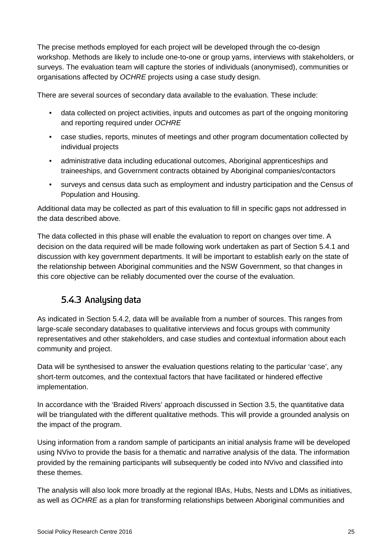The precise methods employed for each project will be developed through the co-design workshop. Methods are likely to include one-to-one or group yarns, interviews with stakeholders, or surveys. The evaluation team will capture the stories of individuals (anonymised), communities or organisations affected by *OCHRE* projects using a case study design.

There are several sources of secondary data available to the evaluation. These include:

- data collected on project activities, inputs and outcomes as part of the ongoing monitoring and reporting required under *OCHRE*
- case studies, reports, minutes of meetings and other program documentation collected by individual projects
- administrative data including educational outcomes, Aboriginal apprenticeships and traineeships, and Government contracts obtained by Aboriginal companies/contactors
- surveys and census data such as employment and industry participation and the Census of Population and Housing.

Additional data may be collected as part of this evaluation to fill in specific gaps not addressed in the data described above.

The data collected in this phase will enable the evaluation to report on changes over time. A decision on the data required will be made following work undertaken as part of Section [5.4.1](#page-29-2) and discussion with key government departments. It will be important to establish early on the state of the relationship between Aboriginal communities and the NSW Government, so that changes in this core objective can be reliably documented over the course of the evaluation.

## **5.4.3 Analysing data**

As indicated in Section [5.4.2,](#page-30-1) data will be available from a number of sources. This ranges from large-scale secondary databases to qualitative interviews and focus groups with community representatives and other stakeholders, and case studies and contextual information about each community and project.

Data will be synthesised to answer the evaluation questions relating to the particular 'case', any short-term outcomes, and the contextual factors that have facilitated or hindered effective implementation.

In accordance with the 'Braided Rivers' approach discussed in Section [3.5,](#page-20-0) the quantitative data will be triangulated with the different qualitative methods. This will provide a grounded analysis on the impact of the program.

Using information from a random sample of participants an initial analysis frame will be developed using NVivo to provide the basis for a thematic and narrative analysis of the data. The information provided by the remaining participants will subsequently be coded into NVivo and classified into these themes.

The analysis will also look more broadly at the regional IBAs, Hubs, Nests and LDMs as initiatives, as well as *OCHRE* as a plan for transforming relationships between Aboriginal communities and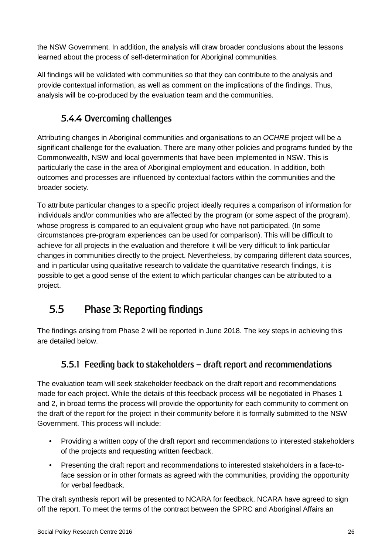the NSW Government. In addition, the analysis will draw broader conclusions about the lessons learned about the process of self-determination for Aboriginal communities.

All findings will be validated with communities so that they can contribute to the analysis and provide contextual information, as well as comment on the implications of the findings. Thus, analysis will be co-produced by the evaluation team and the communities.

### **5.4.4 Overcoming challenges**

Attributing changes in Aboriginal communities and organisations to an *OCHRE* project will be a significant challenge for the evaluation. There are many other policies and programs funded by the Commonwealth, NSW and local governments that have been implemented in NSW. This is particularly the case in the area of Aboriginal employment and education. In addition, both outcomes and processes are influenced by contextual factors within the communities and the broader society.

To attribute particular changes to a specific project ideally requires a comparison of information for individuals and/or communities who are affected by the program (or some aspect of the program), whose progress is compared to an equivalent group who have not participated. (In some circumstances pre-program experiences can be used for comparison). This will be difficult to achieve for all projects in the evaluation and therefore it will be very difficult to link particular changes in communities directly to the project. Nevertheless, by comparing different data sources, and in particular using qualitative research to validate the quantitative research findings, it is possible to get a good sense of the extent to which particular changes can be attributed to a project.

# <span id="page-32-0"></span>**5.5 Phase 3: Reporting findings**

The findings arising from Phase 2 will be reported in June 2018. The key steps in achieving this are detailed below.

### **5.5.1 Feeding back to stakeholders – draft report and recommendations**

The evaluation team will seek stakeholder feedback on the draft report and recommendations made for each project. While the details of this feedback process will be negotiated in Phases 1 and 2, in broad terms the process will provide the opportunity for each community to comment on the draft of the report for the project in their community before it is formally submitted to the NSW Government. This process will include:

- Providing a written copy of the draft report and recommendations to interested stakeholders of the projects and requesting written feedback.
- Presenting the draft report and recommendations to interested stakeholders in a face-toface session or in other formats as agreed with the communities, providing the opportunity for verbal feedback.

The draft synthesis report will be presented to NCARA for feedback. NCARA have agreed to sign off the report. To meet the terms of the contract between the SPRC and Aboriginal Affairs an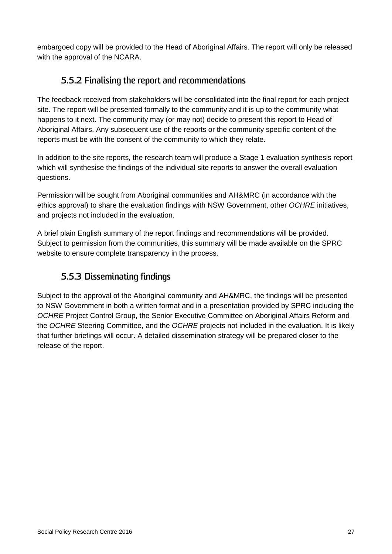embargoed copy will be provided to the Head of Aboriginal Affairs. The report will only be released with the approval of the NCARA.

### **5.5.2 Finalising the report and recommendations**

The feedback received from stakeholders will be consolidated into the final report for each project site. The report will be presented formally to the community and it is up to the community what happens to it next. The community may (or may not) decide to present this report to Head of Aboriginal Affairs. Any subsequent use of the reports or the community specific content of the reports must be with the consent of the community to which they relate.

In addition to the site reports, the research team will produce a Stage 1 evaluation synthesis report which will synthesise the findings of the individual site reports to answer the overall evaluation questions.

Permission will be sought from Aboriginal communities and AH&MRC (in accordance with the ethics approval) to share the evaluation findings with NSW Government, other *OCHRE* initiatives, and projects not included in the evaluation.

A brief plain English summary of the report findings and recommendations will be provided. Subject to permission from the communities, this summary will be made available on the SPRC website to ensure complete transparency in the process.

## **5.5.3 Disseminating findings**

Subject to the approval of the Aboriginal community and AH&MRC, the findings will be presented to NSW Government in both a written format and in a presentation provided by SPRC including the *OCHRE* Project Control Group, the Senior Executive Committee on Aboriginal Affairs Reform and the *OCHRE* Steering Committee, and the *OCHRE* projects not included in the evaluation. It is likely that further briefings will occur. A detailed dissemination strategy will be prepared closer to the release of the report.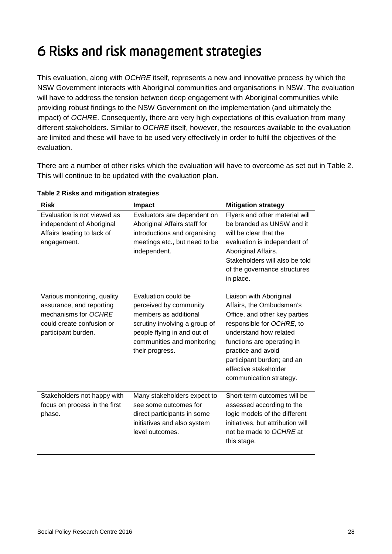# <span id="page-34-0"></span>6 Risks and risk management strategies

This evaluation, along with *OCHRE* itself, represents a new and innovative process by which the NSW Government interacts with Aboriginal communities and organisations in NSW. The evaluation will have to address the tension between deep engagement with Aboriginal communities while providing robust findings to the NSW Government on the implementation (and ultimately the impact) of *OCHRE*. Consequently, there are very high expectations of this evaluation from many different stakeholders. Similar to *OCHRE* itself, however, the resources available to the evaluation are limited and these will have to be used very effectively in order to fulfil the objectives of the evaluation.

There are a number of other risks which the evaluation will have to overcome as set out in [Table 2.](#page-34-1) This will continue to be updated with the evaluation plan.

| <b>Risk</b>                                                                                                                         | Impact                                                                                                                                                                                  | <b>Mitigation strategy</b>                                                                                                                                                                                                                                                        |
|-------------------------------------------------------------------------------------------------------------------------------------|-----------------------------------------------------------------------------------------------------------------------------------------------------------------------------------------|-----------------------------------------------------------------------------------------------------------------------------------------------------------------------------------------------------------------------------------------------------------------------------------|
| Evaluation is not viewed as<br>independent of Aboriginal<br>Affairs leading to lack of<br>engagement.                               | Evaluators are dependent on<br>Aboriginal Affairs staff for<br>introductions and organising<br>meetings etc., but need to be<br>independent.                                            | Flyers and other material will<br>be branded as UNSW and it<br>will be clear that the<br>evaluation is independent of<br>Aboriginal Affairs.<br>Stakeholders will also be told<br>of the governance structures<br>in place.                                                       |
| Various monitoring, quality<br>assurance, and reporting<br>mechanisms for OCHRE<br>could create confusion or<br>participant burden. | Evaluation could be<br>perceived by community<br>members as additional<br>scrutiny involving a group of<br>people flying in and out of<br>communities and monitoring<br>their progress. | Liaison with Aboriginal<br>Affairs, the Ombudsman's<br>Office, and other key parties<br>responsible for OCHRE, to<br>understand how related<br>functions are operating in<br>practice and avoid<br>participant burden; and an<br>effective stakeholder<br>communication strategy. |
| Stakeholders not happy with<br>focus on process in the first<br>phase.                                                              | Many stakeholders expect to<br>see some outcomes for<br>direct participants in some<br>initiatives and also system<br>level outcomes.                                                   | Short-term outcomes will be<br>assessed according to the<br>logic models of the different<br>initiatives, but attribution will<br>not be made to OCHRE at<br>this stage.                                                                                                          |

#### <span id="page-34-1"></span>**Table 2 Risks and mitigation strategies**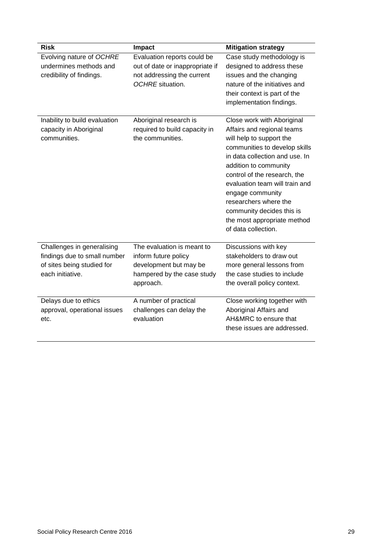| <b>Risk</b>                                                                                                  | Impact                                                                                                                  | <b>Mitigation strategy</b>                                                                                                                                                                                                                                                                                                                                                         |
|--------------------------------------------------------------------------------------------------------------|-------------------------------------------------------------------------------------------------------------------------|------------------------------------------------------------------------------------------------------------------------------------------------------------------------------------------------------------------------------------------------------------------------------------------------------------------------------------------------------------------------------------|
| Evolving nature of OCHRE<br>undermines methods and<br>credibility of findings.                               | Evaluation reports could be<br>out of date or inappropriate if<br>not addressing the current<br>OCHRE situation.        | Case study methodology is<br>designed to address these<br>issues and the changing<br>nature of the initiatives and<br>their context is part of the<br>implementation findings.                                                                                                                                                                                                     |
| Inability to build evaluation<br>capacity in Aboriginal<br>communities.                                      | Aboriginal research is<br>required to build capacity in<br>the communities.                                             | Close work with Aboriginal<br>Affairs and regional teams<br>will help to support the<br>communities to develop skills<br>in data collection and use. In<br>addition to community<br>control of the research, the<br>evaluation team will train and<br>engage community<br>researchers where the<br>community decides this is<br>the most appropriate method<br>of data collection. |
| Challenges in generalising<br>findings due to small number<br>of sites being studied for<br>each initiative. | The evaluation is meant to<br>inform future policy<br>development but may be<br>hampered by the case study<br>approach. | Discussions with key<br>stakeholders to draw out<br>more general lessons from<br>the case studies to include<br>the overall policy context.                                                                                                                                                                                                                                        |
| Delays due to ethics<br>approval, operational issues<br>etc.                                                 | A number of practical<br>challenges can delay the<br>evaluation                                                         | Close working together with<br>Aboriginal Affairs and<br>AH&MRC to ensure that<br>these issues are addressed.                                                                                                                                                                                                                                                                      |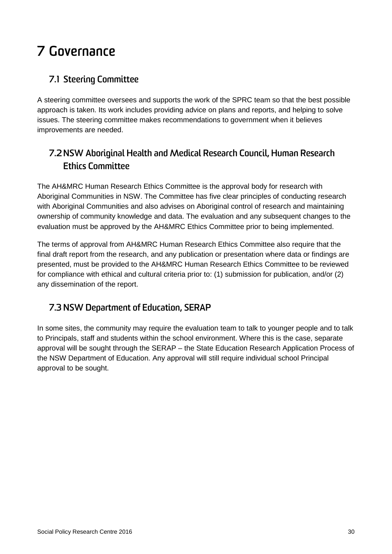# <span id="page-36-0"></span>7 Governance

## <span id="page-36-1"></span>**7.1 Steering Committee**

A steering committee oversees and supports the work of the SPRC team so that the best possible approach is taken. Its work includes providing advice on plans and reports, and helping to solve issues. The steering committee makes recommendations to government when it believes improvements are needed.

## <span id="page-36-2"></span>**7.2NSW Aboriginal Health and Medical Research Council, Human Research Ethics Committee**

The AH&MRC Human Research Ethics Committee is the approval body for research with Aboriginal Communities in NSW. The Committee has five clear principles of conducting research with Aboriginal Communities and also advises on Aboriginal control of research and maintaining ownership of community knowledge and data. The evaluation and any subsequent changes to the evaluation must be approved by the AH&MRC Ethics Committee prior to being implemented.

The terms of approval from AH&MRC Human Research Ethics Committee also require that the final draft report from the research, and any publication or presentation where data or findings are presented, must be provided to the AH&MRC Human Research Ethics Committee to be reviewed for compliance with ethical and cultural criteria prior to: (1) submission for publication, and/or (2) any dissemination of the report.

## <span id="page-36-3"></span>**7.3 NSW Department of Education, SERAP**

In some sites, the community may require the evaluation team to talk to younger people and to talk to Principals, staff and students within the school environment. Where this is the case, separate approval will be sought through the SERAP – the State Education Research Application Process of the NSW Department of Education. Any approval will still require individual school Principal approval to be sought.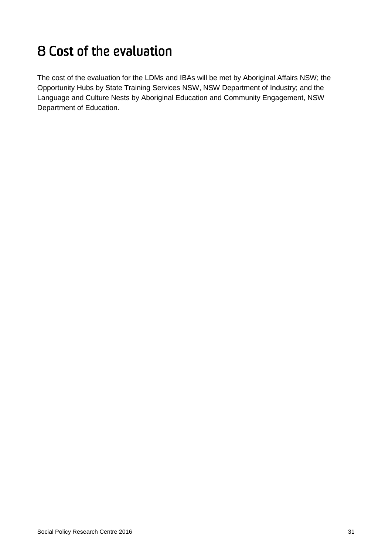# <span id="page-37-0"></span>8 Cost of the evaluation

The cost of the evaluation for the LDMs and IBAs will be met by Aboriginal Affairs NSW; the Opportunity Hubs by State Training Services NSW, NSW Department of Industry; and the Language and Culture Nests by Aboriginal Education and Community Engagement, NSW Department of Education.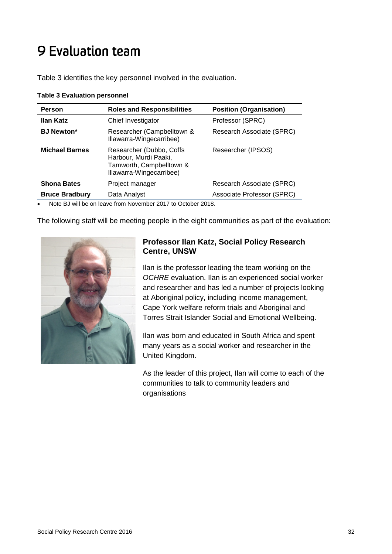# <span id="page-38-0"></span>9 Evaluation team

Table 3 identifies the key personnel involved in the evaluation.

| Person                | <b>Roles and Responsibilities</b>                                                                         | <b>Position (Organisation)</b> |  |
|-----------------------|-----------------------------------------------------------------------------------------------------------|--------------------------------|--|
| Ilan Katz             | Chief Investigator                                                                                        | Professor (SPRC)               |  |
| <b>BJ Newton*</b>     | Researcher (Campbelltown &<br>Illawarra-Wingecarribee)                                                    | Research Associate (SPRC)      |  |
| <b>Michael Barnes</b> | Researcher (Dubbo, Coffs<br>Harbour, Murdi Paaki,<br>Tamworth, Campbelltown &<br>Illawarra-Wingecarribee) | Researcher (IPSOS)             |  |
| <b>Shona Bates</b>    | Project manager                                                                                           | Research Associate (SPRC)      |  |
| <b>Bruce Bradbury</b> | Data Analyst                                                                                              | Associate Professor (SPRC)     |  |

#### <span id="page-38-1"></span>**Table 3 Evaluation personnel**

• Note BJ will be on leave from November 2017 to October 2018.

The following staff will be meeting people in the eight communities as part of the evaluation:



### **Professor Ilan Katz, Social Policy Research Centre, UNSW**

Ilan is the professor leading the team working on the *OCHRE* evaluation. Ilan is an experienced social worker and researcher and has led a number of projects looking at Aboriginal policy, including income management, Cape York welfare reform trials and Aboriginal and Torres Strait Islander Social and Emotional Wellbeing.

Ilan was born and educated in South Africa and spent many years as a social worker and researcher in the United Kingdom.

As the leader of this project, Ilan will come to each of the communities to talk to community leaders and organisations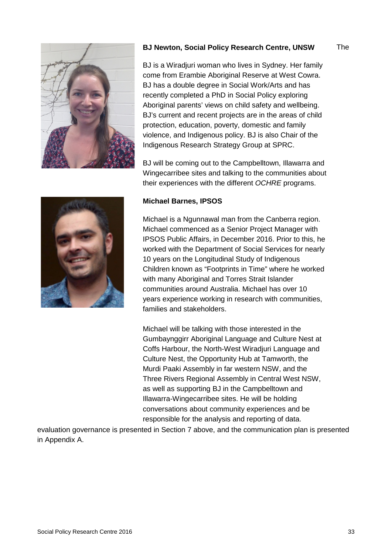

#### **BJ Newton, Social Policy Research Centre, UNSW**

The

BJ is a Wiradjuri woman who lives in Sydney. Her family come from Erambie Aboriginal Reserve at West Cowra. BJ has a double degree in Social Work/Arts and has recently completed a PhD in Social Policy exploring Aboriginal parents' views on child safety and wellbeing. BJ's current and recent projects are in the areas of child protection, education, poverty, domestic and family violence, and Indigenous policy. BJ is also Chair of the Indigenous Research Strategy Group at SPRC.

BJ will be coming out to the Campbelltown, Illawarra and Wingecarribee sites and talking to the communities about their experiences with the different *OCHRE* programs.



#### **Michael Barnes, IPSOS**

Michael is a Ngunnawal man from the Canberra region. Michael commenced as a Senior Project Manager with IPSOS Public Affairs, in December 2016. Prior to this, he worked with the Department of Social Services for nearly 10 years on the Longitudinal Study of Indigenous Children known as "Footprints in Time" where he worked with many Aboriginal and Torres Strait Islander communities around Australia. Michael has over 10 years experience working in research with communities, families and stakeholders.

Michael will be talking with those interested in the Gumbaynggirr Aboriginal Language and Culture Nest at Coffs Harbour, the North-West Wiradjuri Language and Culture Nest, the Opportunity Hub at Tamworth, the Murdi Paaki Assembly in far western NSW, and the Three Rivers Regional Assembly in Central West NSW, as well as supporting BJ in the Campbelltown and Illawarra-Wingecarribee sites. He will be holding conversations about community experiences and be responsible for the analysis and reporting of data.

evaluation governance is presented in Section 7 above, and the communication plan is presented in Appendix A.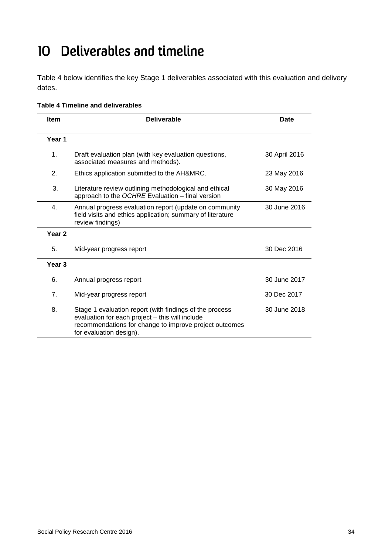# <span id="page-40-0"></span>10 Deliverables and timeline

[Table 4](#page-40-1) below identifies the key Stage 1 deliverables associated with this evaluation and delivery dates.

| <b>Item</b>       | <b>Deliverable</b>                                                                                                                                                                              | <b>Date</b>   |
|-------------------|-------------------------------------------------------------------------------------------------------------------------------------------------------------------------------------------------|---------------|
| Year 1            |                                                                                                                                                                                                 |               |
| 1.                | Draft evaluation plan (with key evaluation questions,<br>associated measures and methods).                                                                                                      | 30 April 2016 |
| 2.                | Ethics application submitted to the AH&MRC.                                                                                                                                                     | 23 May 2016   |
| 3.                | Literature review outlining methodological and ethical<br>approach to the OCHRE Evaluation - final version                                                                                      | 30 May 2016   |
| 4.                | Annual progress evaluation report (update on community<br>field visits and ethics application; summary of literature<br>review findings)                                                        | 30 June 2016  |
| Year <sub>2</sub> |                                                                                                                                                                                                 |               |
| 5.                | Mid-year progress report                                                                                                                                                                        | 30 Dec 2016   |
| Year 3            |                                                                                                                                                                                                 |               |
| 6.                | Annual progress report                                                                                                                                                                          | 30 June 2017  |
| 7 <sub>1</sub>    | Mid-year progress report                                                                                                                                                                        | 30 Dec 2017   |
| 8.                | Stage 1 evaluation report (with findings of the process<br>evaluation for each project - this will include<br>recommendations for change to improve project outcomes<br>for evaluation design). | 30 June 2018  |

#### <span id="page-40-1"></span>**Table 4 Timeline and deliverables**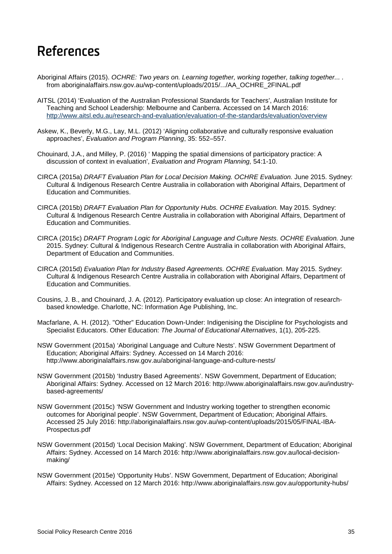# <span id="page-41-0"></span>References

- Aboriginal Affairs (2015). *OCHRE: Two years on. Learning together, working together, talking together... .* from aboriginalaffairs.nsw.gov.au/wp-content/uploads/2015/.../AA\_OCHRE\_2FINAL.pdf
- AITSL (2014) 'Evaluation of the Australian Professional Standards for Teachers', Australian Institute for Teaching and School Leadership: Melbourne and Canberra. Accessed on 14 March 2016: <http://www.aitsl.edu.au/research-and-evaluation/evaluation-of-the-standards/evaluation/overview>
- Askew, K., Beverly, M.G., Lay, M.L. (2012) 'Aligning collaborative and culturally responsive evaluation approaches', *Evaluation and Program Planning*, 35: 552–557.
- Chouinard, J.A., and Milley, P. (2016) ' Mapping the spatial dimensions of participatory practice: A discussion of context in evaluation', *Evaluation and Program Planning,* 54:1-10.
- CIRCA (2015a) *DRAFT Evaluation Plan for Local Decision Making. OCHRE Evaluation.* June 2015. Sydney: Cultural & Indigenous Research Centre Australia in collaboration with Aboriginal Affairs, Department of Education and Communities.
- CIRCA (2015b) *DRAFT Evaluation Plan for Opportunity Hubs. OCHRE Evaluation.* May 2015. Sydney: Cultural & Indigenous Research Centre Australia in collaboration with Aboriginal Affairs, Department of Education and Communities.
- CIRCA (2015c) *DRAFT Program Logic for Aboriginal Language and Culture Nests. OCHRE Evaluation.* June 2015. Sydney: Cultural & Indigenous Research Centre Australia in collaboration with Aboriginal Affairs, Department of Education and Communities.
- CIRCA (2015d) *Evaluation Plan for Industry Based Agreements. OCHRE Evaluation.* May 2015. Sydney: Cultural & Indigenous Research Centre Australia in collaboration with Aboriginal Affairs, Department of Education and Communities.
- Cousins, J. B., and Chouinard, J. A. (2012). Participatory evaluation up close: An integration of researchbased knowledge. Charlotte, NC: Information Age Publishing, Inc.
- <span id="page-41-1"></span>Macfarlane, A. H. (2012). "Other" Education Down-Under: Indigenising the Discipline for Psychologists and Specialist Educators. Other Education: *The Journal of Educational Alternatives*, 1(1), 205-225.
- NSW Government (2015a) 'Aboriginal Language and Culture Nests'. NSW Government Department of Education; Aboriginal Affairs: Sydney. Accessed on 14 March 2016: http://www.aboriginalaffairs.nsw.gov.au/aboriginal-language-and-culture-nests/
- NSW Government (2015b) 'Industry Based Agreements'. NSW Government, Department of Education; Aboriginal Affairs: Sydney. Accessed on 12 March 2016: [http://www.aboriginalaffairs.nsw.gov.au/industry](http://www.aboriginalaffairs.nsw.gov.au/industry-based-agreements/)[based-agreements/](http://www.aboriginalaffairs.nsw.gov.au/industry-based-agreements/)
- NSW Government (2015c) 'NSW Government and Industry working together to strengthen economic outcomes for Aboriginal people'. NSW Government, Department of Education; Aboriginal Affairs. Accessed 25 July 2016: http://aboriginalaffairs.nsw.gov.au/wp-content/uploads/2015/05/FINAL-IBA-Prospectus.pdf
- NSW Government (2015d) 'Local Decision Making'. NSW Government, Department of Education; Aboriginal Affairs: Sydney. Accessed on 14 March 2016: [http://www.aboriginalaffairs.nsw.gov.au/local-decision](http://www.aboriginalaffairs.nsw.gov.au/local-decision-making/)[making/](http://www.aboriginalaffairs.nsw.gov.au/local-decision-making/)
- NSW Government (2015e) 'Opportunity Hubs'. NSW Government, Department of Education; Aboriginal Affairs: Sydney. Accessed on 12 March 2016:<http://www.aboriginalaffairs.nsw.gov.au/opportunity-hubs/>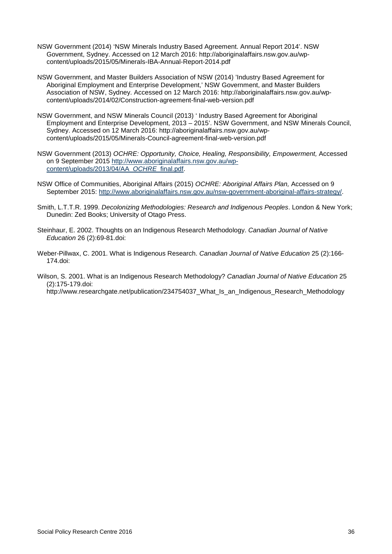- NSW Government (2014) 'NSW Minerals Industry Based Agreement. Annual Report 2014'. NSW Government, Sydney. Accessed on 12 March 2016: [http://aboriginalaffairs.nsw.gov.au/wp](http://aboriginalaffairs.nsw.gov.au/wp-content/uploads/2015/05/Minerals-IBA-Annual-Report-2014.pdf)[content/uploads/2015/05/Minerals-IBA-Annual-Report-2014.pdf](http://aboriginalaffairs.nsw.gov.au/wp-content/uploads/2015/05/Minerals-IBA-Annual-Report-2014.pdf)
- NSW Government, and Master Builders Association of NSW (2014) 'Industry Based Agreement for Aboriginal Employment and Enterprise Development,' NSW Government, and Master Builders Association of NSW, Sydney. Accessed on 12 March 2016: [http://aboriginalaffairs.nsw.gov.au/wp](http://aboriginalaffairs.nsw.gov.au/wp-content/uploads/2014/02/Construction-agreement-final-web-version.pdf)[content/uploads/2014/02/Construction-agreement-final-web-version.pdf](http://aboriginalaffairs.nsw.gov.au/wp-content/uploads/2014/02/Construction-agreement-final-web-version.pdf)
- NSW Government, and NSW Minerals Council (2013) ' Industry Based Agreement for Aboriginal Employment and Enterprise Development, 2013 – 2015'. NSW Government, and NSW Minerals Council, Sydney. Accessed on 12 March 2016: [http://aboriginalaffairs.nsw.gov.au/wp](http://aboriginalaffairs.nsw.gov.au/wp-content/uploads/2015/05/Minerals-Council-agreement-final-web-version.pdf)[content/uploads/2015/05/Minerals-Council-agreement-final-web-version.pdf](http://aboriginalaffairs.nsw.gov.au/wp-content/uploads/2015/05/Minerals-Council-agreement-final-web-version.pdf)
- NSW Government (2013) *OCHRE: Opportunity, Choice, Healing, Responsibility, Empowerment,* Accessed on 9 September 2015 [http://www.aboriginalaffairs.nsw.gov.au/wp](http://www.aboriginalaffairs.nsw.gov.au/wp-content/uploads/2013/04/AA_OCHRE_final.pdf)[content/uploads/2013/04/AA\\_](http://www.aboriginalaffairs.nsw.gov.au/wp-content/uploads/2013/04/AA_OCHRE_final.pdf)*OCHRE*\_final.pdf.
- NSW Office of Communities, Aboriginal Affairs (2015) *OCHRE: Aboriginal Affairs Plan,* Accessed on 9 September 2015: [http://www.aboriginalaffairs.nsw.gov.au/nsw-government-aboriginal-affairs-strategy/.](http://www.aboriginalaffairs.nsw.gov.au/nsw-government-aboriginal-affairs-strategy/)
- Smith, L.T.T.R. 1999. *Decolonizing Methodologies: Research and Indigenous Peoples*. London & New York; Dunedin: Zed Books; University of Otago Press.
- Steinhaur, E. 2002. Thoughts on an Indigenous Research Methodology. *Canadian Journal of Native Education* 26 (2):69-81.doi:
- Weber-Pillwax, C. 2001. What is Indigenous Research. *Canadian Journal of Native Education* 25 (2):166- 174.doi:
- Wilson, S. 2001. What is an Indigenous Research Methodology? *Canadian Journal of Native Education* 25 (2):175-179.doi:

http://www.researchgate.net/publication/234754037\_What\_Is\_an\_Indigenous\_Research\_Methodology